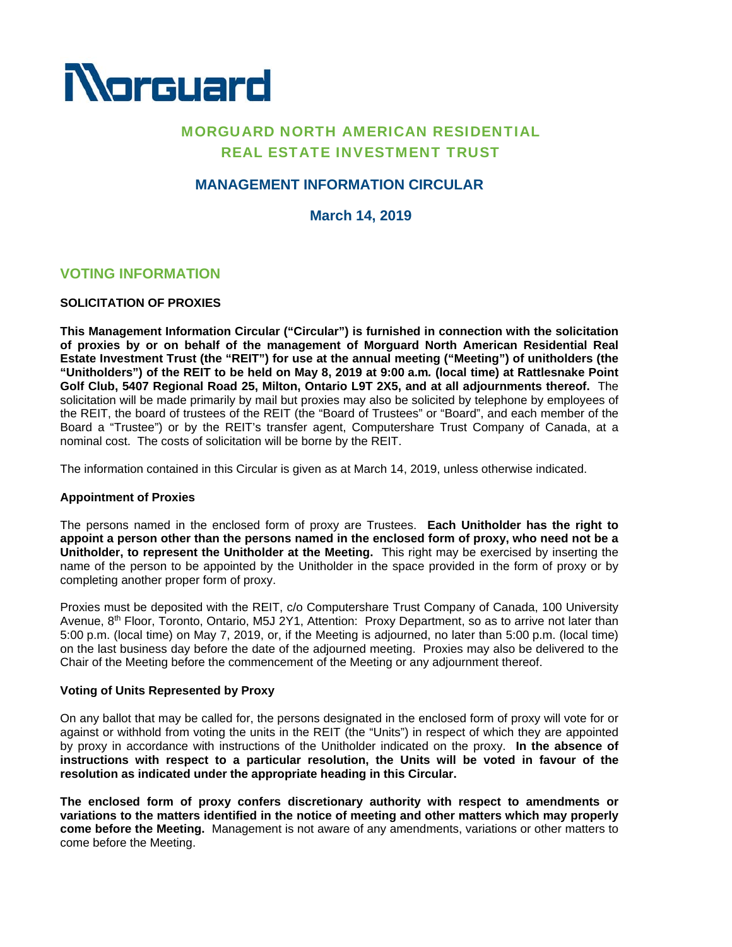

# MORGUARD NORTH AMERICAN RESIDENTIAL REAL ESTATE INVESTMENT TRUST

# **MANAGEMENT INFORMATION CIRCULAR**

**March 14, 2019**

# **VOTING INFORMATION**

## **SOLICITATION OF PROXIES**

**This Management Information Circular ("Circular") is furnished in connection with the solicitation of proxies by or on behalf of the management of Morguard North American Residential Real Estate Investment Trust (the "REIT") for use at the annual meeting ("Meeting") of unitholders (the "Unitholders") of the REIT to be held on May 8, 2019 at 9:00 a.m***.* **(local time) at Rattlesnake Point Golf Club, 5407 Regional Road 25, Milton, Ontario L9T 2X5, and at all adjournments thereof.** The solicitation will be made primarily by mail but proxies may also be solicited by telephone by employees of the REIT, the board of trustees of the REIT (the "Board of Trustees" or "Board", and each member of the Board a "Trustee") or by the REIT's transfer agent, Computershare Trust Company of Canada, at a nominal cost. The costs of solicitation will be borne by the REIT.

The information contained in this Circular is given as at March 14, 2019, unless otherwise indicated.

### **Appointment of Proxies**

The persons named in the enclosed form of proxy are Trustees. **Each Unitholder has the right to appoint a person other than the persons named in the enclosed form of proxy, who need not be a Unitholder, to represent the Unitholder at the Meeting.** This right may be exercised by inserting the name of the person to be appointed by the Unitholder in the space provided in the form of proxy or by completing another proper form of proxy.

Proxies must be deposited with the REIT, c/o Computershare Trust Company of Canada, 100 University Avenue, 8<sup>th</sup> Floor, Toronto, Ontario, M5J 2Y1, Attention: Proxy Department, so as to arrive not later than 5:00 p.m. (local time) on May 7, 2019, or, if the Meeting is adjourned, no later than 5:00 p.m. (local time) on the last business day before the date of the adjourned meeting. Proxies may also be delivered to the Chair of the Meeting before the commencement of the Meeting or any adjournment thereof.

### **Voting of Units Represented by Proxy**

On any ballot that may be called for, the persons designated in the enclosed form of proxy will vote for or against or withhold from voting the units in the REIT (the "Units") in respect of which they are appointed by proxy in accordance with instructions of the Unitholder indicated on the proxy. **In the absence of instructions with respect to a particular resolution, the Units will be voted in favour of the resolution as indicated under the appropriate heading in this Circular.**

**The enclosed form of proxy confers discretionary authority with respect to amendments or variations to the matters identified in the notice of meeting and other matters which may properly come before the Meeting.** Management is not aware of any amendments, variations or other matters to come before the Meeting.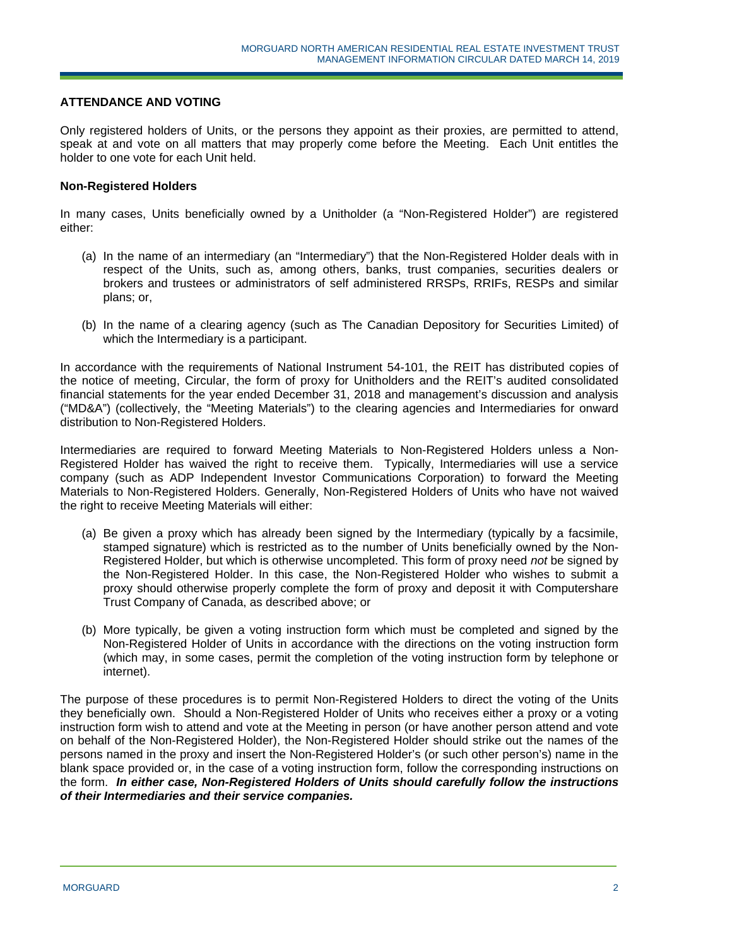### **ATTENDANCE AND VOTING**

Only registered holders of Units, or the persons they appoint as their proxies, are permitted to attend, speak at and vote on all matters that may properly come before the Meeting. Each Unit entitles the holder to one vote for each Unit held.

### **Non-Registered Holders**

In many cases, Units beneficially owned by a Unitholder (a "Non-Registered Holder") are registered either:

- (a) In the name of an intermediary (an "Intermediary") that the Non-Registered Holder deals with in respect of the Units, such as, among others, banks, trust companies, securities dealers or brokers and trustees or administrators of self administered RRSPs, RRIFs, RESPs and similar plans; or,
- (b) In the name of a clearing agency (such as The Canadian Depository for Securities Limited) of which the Intermediary is a participant.

In accordance with the requirements of National Instrument 54-101, the REIT has distributed copies of the notice of meeting, Circular, the form of proxy for Unitholders and the REIT's audited consolidated financial statements for the year ended December 31, 2018 and management's discussion and analysis ("MD&A") (collectively, the "Meeting Materials") to the clearing agencies and Intermediaries for onward distribution to Non-Registered Holders.

Intermediaries are required to forward Meeting Materials to Non-Registered Holders unless a Non-Registered Holder has waived the right to receive them. Typically, Intermediaries will use a service company (such as ADP Independent Investor Communications Corporation) to forward the Meeting Materials to Non-Registered Holders. Generally, Non-Registered Holders of Units who have not waived the right to receive Meeting Materials will either:

- (a) Be given a proxy which has already been signed by the Intermediary (typically by a facsimile, stamped signature) which is restricted as to the number of Units beneficially owned by the Non-Registered Holder, but which is otherwise uncompleted. This form of proxy need *not* be signed by the Non-Registered Holder. In this case, the Non-Registered Holder who wishes to submit a proxy should otherwise properly complete the form of proxy and deposit it with Computershare Trust Company of Canada, as described above; or
- (b) More typically, be given a voting instruction form which must be completed and signed by the Non-Registered Holder of Units in accordance with the directions on the voting instruction form (which may, in some cases, permit the completion of the voting instruction form by telephone or internet).

The purpose of these procedures is to permit Non-Registered Holders to direct the voting of the Units they beneficially own. Should a Non-Registered Holder of Units who receives either a proxy or a voting instruction form wish to attend and vote at the Meeting in person (or have another person attend and vote on behalf of the Non-Registered Holder), the Non-Registered Holder should strike out the names of the persons named in the proxy and insert the Non-Registered Holder's (or such other person's) name in the blank space provided or, in the case of a voting instruction form, follow the corresponding instructions on the form. *In either case, Non-Registered Holders of Units should carefully follow the instructions of their Intermediaries and their service companies.*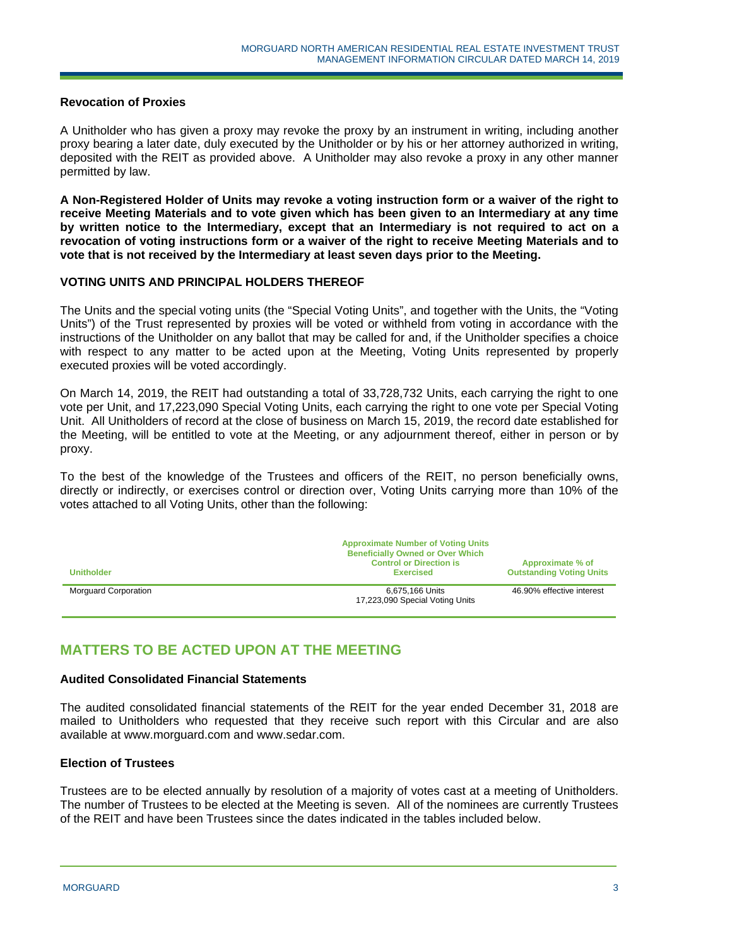### **Revocation of Proxies**

A Unitholder who has given a proxy may revoke the proxy by an instrument in writing, including another proxy bearing a later date, duly executed by the Unitholder or by his or her attorney authorized in writing, deposited with the REIT as provided above. A Unitholder may also revoke a proxy in any other manner permitted by law.

**A Non-Registered Holder of Units may revoke a voting instruction form or a waiver of the right to receive Meeting Materials and to vote given which has been given to an Intermediary at any time by written notice to the Intermediary, except that an Intermediary is not required to act on a revocation of voting instructions form or a waiver of the right to receive Meeting Materials and to vote that is not received by the Intermediary at least seven days prior to the Meeting.** 

#### **VOTING UNITS AND PRINCIPAL HOLDERS THEREOF**

The Units and the special voting units (the "Special Voting Units", and together with the Units, the "Voting Units") of the Trust represented by proxies will be voted or withheld from voting in accordance with the instructions of the Unitholder on any ballot that may be called for and, if the Unitholder specifies a choice with respect to any matter to be acted upon at the Meeting, Voting Units represented by properly executed proxies will be voted accordingly.

On March 14, 2019, the REIT had outstanding a total of 33,728,732 Units, each carrying the right to one vote per Unit, and 17,223,090 Special Voting Units, each carrying the right to one vote per Special Voting Unit. All Unitholders of record at the close of business on March 15, 2019, the record date established for the Meeting, will be entitled to vote at the Meeting, or any adjournment thereof, either in person or by proxy.

To the best of the knowledge of the Trustees and officers of the REIT, no person beneficially owns, directly or indirectly, or exercises control or direction over, Voting Units carrying more than 10% of the votes attached to all Voting Units, other than the following:

| <b>Unitholder</b>           | <b>Approximate Number of Voting Units</b><br><b>Beneficially Owned or Over Which</b><br><b>Control or Direction is</b><br><b>Exercised</b> | Approximate % of<br><b>Outstanding Voting Units</b> |
|-----------------------------|--------------------------------------------------------------------------------------------------------------------------------------------|-----------------------------------------------------|
| <b>Morguard Corporation</b> | 6,675,166 Units<br>17,223,090 Special Voting Units                                                                                         | 46.90% effective interest                           |

# **MATTERS TO BE ACTED UPON AT THE MEETING**

#### **Audited Consolidated Financial Statements**

The audited consolidated financial statements of the REIT for the year ended December 31, 2018 are mailed to Unitholders who requested that they receive such report with this Circular and are also available at www.morguard.com and www.sedar.com.

### **Election of Trustees**

Trustees are to be elected annually by resolution of a majority of votes cast at a meeting of Unitholders. The number of Trustees to be elected at the Meeting is seven. All of the nominees are currently Trustees of the REIT and have been Trustees since the dates indicated in the tables included below.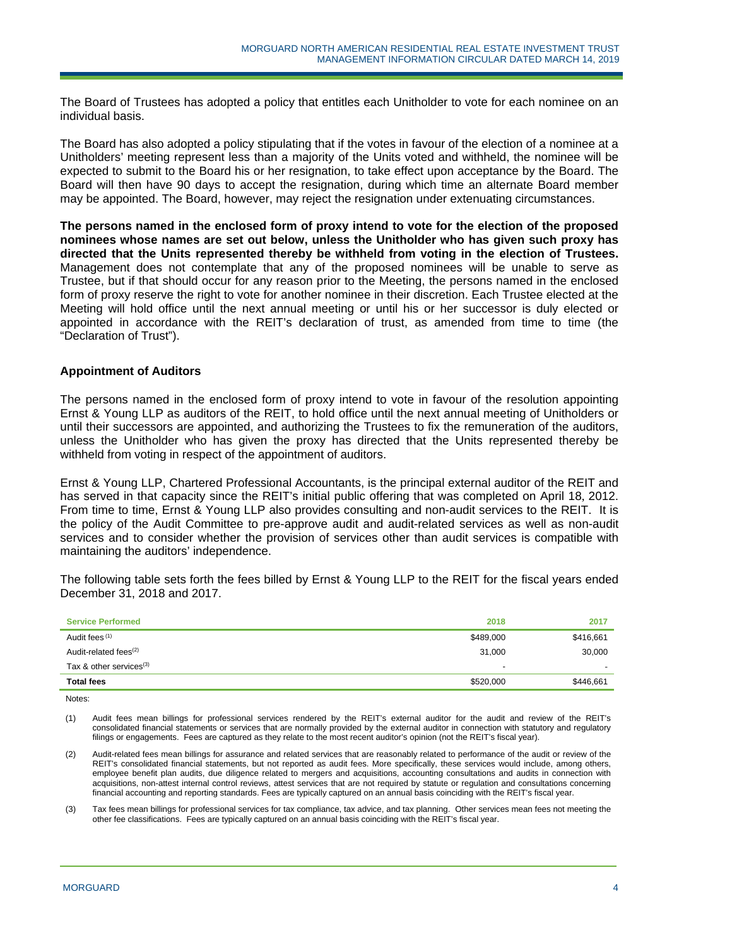The Board of Trustees has adopted a policy that entitles each Unitholder to vote for each nominee on an individual basis.

The Board has also adopted a policy stipulating that if the votes in favour of the election of a nominee at a Unitholders' meeting represent less than a majority of the Units voted and withheld, the nominee will be expected to submit to the Board his or her resignation, to take effect upon acceptance by the Board. The Board will then have 90 days to accept the resignation, during which time an alternate Board member may be appointed. The Board, however, may reject the resignation under extenuating circumstances.

**The persons named in the enclosed form of proxy intend to vote for the election of the proposed nominees whose names are set out below, unless the Unitholder who has given such proxy has directed that the Units represented thereby be withheld from voting in the election of Trustees.** Management does not contemplate that any of the proposed nominees will be unable to serve as Trustee, but if that should occur for any reason prior to the Meeting, the persons named in the enclosed form of proxy reserve the right to vote for another nominee in their discretion. Each Trustee elected at the Meeting will hold office until the next annual meeting or until his or her successor is duly elected or appointed in accordance with the REIT's declaration of trust, as amended from time to time (the "Declaration of Trust").

### **Appointment of Auditors**

The persons named in the enclosed form of proxy intend to vote in favour of the resolution appointing Ernst & Young LLP as auditors of the REIT, to hold office until the next annual meeting of Unitholders or until their successors are appointed, and authorizing the Trustees to fix the remuneration of the auditors, unless the Unitholder who has given the proxy has directed that the Units represented thereby be withheld from voting in respect of the appointment of auditors.

Ernst & Young LLP, Chartered Professional Accountants, is the principal external auditor of the REIT and has served in that capacity since the REIT's initial public offering that was completed on April 18, 2012. From time to time, Ernst & Young LLP also provides consulting and non-audit services to the REIT. It is the policy of the Audit Committee to pre-approve audit and audit-related services as well as non-audit services and to consider whether the provision of services other than audit services is compatible with maintaining the auditors' independence.

The following table sets forth the fees billed by Ernst & Young LLP to the REIT for the fiscal years ended December 31, 2018 and 2017.

| <b>Service Performed</b>   | 2018                     | 2017      |
|----------------------------|--------------------------|-----------|
| Audit fees (1)             | \$489,000                | \$416,661 |
| Audit-related fees $(2)$   | 31.000                   | 30,000    |
| Tax & other services $(3)$ | $\overline{\phantom{a}}$ |           |
| <b>Total fees</b>          | \$520,000                | \$446,661 |

Notes:

(1) Audit fees mean billings for professional services rendered by the REIT's external auditor for the audit and review of the REIT's consolidated financial statements or services that are normally provided by the external auditor in connection with statutory and regulatory filings or engagements. Fees are captured as they relate to the most recent auditor's opinion (not the REIT's fiscal year).

- (2) Audit-related fees mean billings for assurance and related services that are reasonably related to performance of the audit or review of the REIT's consolidated financial statements, but not reported as audit fees. More specifically, these services would include, among others, employee benefit plan audits, due diligence related to mergers and acquisitions, accounting consultations and audits in connection with acquisitions, non-attest internal control reviews, attest services that are not required by statute or regulation and consultations concerning financial accounting and reporting standards. Fees are typically captured on an annual basis coinciding with the REIT's fiscal year.
- (3) Tax fees mean billings for professional services for tax compliance, tax advice, and tax planning. Other services mean fees not meeting the other fee classifications. Fees are typically captured on an annual basis coinciding with the REIT's fiscal year.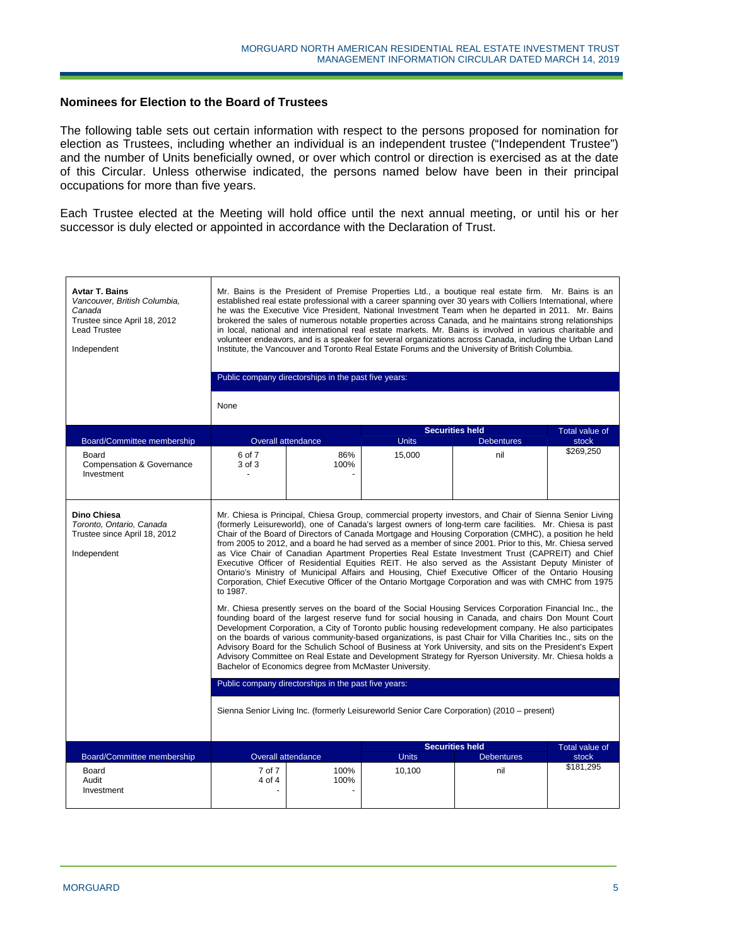### **Nominees for Election to the Board of Trustees**

The following table sets out certain information with respect to the persons proposed for nomination for election as Trustees, including whether an individual is an independent trustee ("Independent Trustee") and the number of Units beneficially owned, or over which control or direction is exercised as at the date of this Circular. Unless otherwise indicated, the persons named below have been in their principal occupations for more than five years.

Each Trustee elected at the Meeting will hold office until the next annual meeting, or until his or her successor is duly elected or appointed in accordance with the Declaration of Trust.

| <b>Avtar T. Bains</b><br>Vancouver, British Columbia,<br>Canada<br>Trustee since April 18, 2012<br><b>Lead Trustee</b><br>Independent | Mr. Bains is the President of Premise Properties Ltd., a boutique real estate firm. Mr. Bains is an<br>established real estate professional with a career spanning over 30 years with Colliers International, where<br>he was the Executive Vice President, National Investment Team when he departed in 2011. Mr. Bains<br>brokered the sales of numerous notable properties across Canada, and he maintains strong relationships<br>in local, national and international real estate markets. Mr. Bains is involved in various charitable and<br>volunteer endeavors, and is a speaker for several organizations across Canada, including the Urban Land<br>Institute, the Vancouver and Toronto Real Estate Forums and the University of British Columbia.<br>Public company directorships in the past five years:                                                                                                                                                                                                                                                                                                                                                                                                                                                                                                                                                                                                                                                                                                                                                                                                                                                                                                                                        |                                   |                        |                                             |                                |  |  |
|---------------------------------------------------------------------------------------------------------------------------------------|--------------------------------------------------------------------------------------------------------------------------------------------------------------------------------------------------------------------------------------------------------------------------------------------------------------------------------------------------------------------------------------------------------------------------------------------------------------------------------------------------------------------------------------------------------------------------------------------------------------------------------------------------------------------------------------------------------------------------------------------------------------------------------------------------------------------------------------------------------------------------------------------------------------------------------------------------------------------------------------------------------------------------------------------------------------------------------------------------------------------------------------------------------------------------------------------------------------------------------------------------------------------------------------------------------------------------------------------------------------------------------------------------------------------------------------------------------------------------------------------------------------------------------------------------------------------------------------------------------------------------------------------------------------------------------------------------------------------------------------------------------------|-----------------------------------|------------------------|---------------------------------------------|--------------------------------|--|--|
|                                                                                                                                       | None                                                                                                                                                                                                                                                                                                                                                                                                                                                                                                                                                                                                                                                                                                                                                                                                                                                                                                                                                                                                                                                                                                                                                                                                                                                                                                                                                                                                                                                                                                                                                                                                                                                                                                                                                         |                                   |                        |                                             |                                |  |  |
| Board/Committee membership                                                                                                            |                                                                                                                                                                                                                                                                                                                                                                                                                                                                                                                                                                                                                                                                                                                                                                                                                                                                                                                                                                                                                                                                                                                                                                                                                                                                                                                                                                                                                                                                                                                                                                                                                                                                                                                                                              | Overall attendance                | <b>Units</b>           | <b>Securities held</b><br><b>Debentures</b> | <b>Total value of</b><br>stock |  |  |
| Board<br>Compensation & Governance<br>Investment                                                                                      | 6 of 7<br>3 of 3<br>$\overline{a}$                                                                                                                                                                                                                                                                                                                                                                                                                                                                                                                                                                                                                                                                                                                                                                                                                                                                                                                                                                                                                                                                                                                                                                                                                                                                                                                                                                                                                                                                                                                                                                                                                                                                                                                           | 86%<br>100%                       | 15.000                 | nil                                         | \$269,250                      |  |  |
| Dino Chiesa<br>Toronto, Ontario, Canada<br>Trustee since April 18, 2012<br>Independent                                                | Mr. Chiesa is Principal, Chiesa Group, commercial property investors, and Chair of Sienna Senior Living<br>(formerly Leisureworld), one of Canada's largest owners of long-term care facilities. Mr. Chiesa is past<br>Chair of the Board of Directors of Canada Mortgage and Housing Corporation (CMHC), a position he held<br>from 2005 to 2012, and a board he had served as a member of since 2001. Prior to this, Mr. Chiesa served<br>as Vice Chair of Canadian Apartment Properties Real Estate Investment Trust (CAPREIT) and Chief<br>Executive Officer of Residential Equities REIT. He also served as the Assistant Deputy Minister of<br>Ontario's Ministry of Municipal Affairs and Housing, Chief Executive Officer of the Ontario Housing<br>Corporation, Chief Executive Officer of the Ontario Mortgage Corporation and was with CMHC from 1975<br>to 1987.<br>Mr. Chiesa presently serves on the board of the Social Housing Services Corporation Financial Inc., the<br>founding board of the largest reserve fund for social housing in Canada, and chairs Don Mount Court<br>Development Corporation, a City of Toronto public housing redevelopment company. He also participates<br>on the boards of various community-based organizations, is past Chair for Villa Charities Inc., sits on the<br>Advisory Board for the Schulich School of Business at York University, and sits on the President's Expert<br>Advisory Committee on Real Estate and Development Strategy for Ryerson University. Mr. Chiesa holds a<br>Bachelor of Economics degree from McMaster University.<br>Public company directorships in the past five years:<br>Sienna Senior Living Inc. (formerly Leisureworld Senior Care Corporation) (2010 – present) |                                   |                        |                                             |                                |  |  |
|                                                                                                                                       |                                                                                                                                                                                                                                                                                                                                                                                                                                                                                                                                                                                                                                                                                                                                                                                                                                                                                                                                                                                                                                                                                                                                                                                                                                                                                                                                                                                                                                                                                                                                                                                                                                                                                                                                                              |                                   |                        | <b>Securities held</b>                      | Total value of                 |  |  |
| Board/Committee membership<br>Board                                                                                                   | 7 of 7                                                                                                                                                                                                                                                                                                                                                                                                                                                                                                                                                                                                                                                                                                                                                                                                                                                                                                                                                                                                                                                                                                                                                                                                                                                                                                                                                                                                                                                                                                                                                                                                                                                                                                                                                       | <b>Overall attendance</b><br>100% | <b>Units</b><br>10,100 | <b>Debentures</b><br>nil                    | stock<br>\$181,295             |  |  |
| Audit<br>Investment                                                                                                                   | 4 of 4                                                                                                                                                                                                                                                                                                                                                                                                                                                                                                                                                                                                                                                                                                                                                                                                                                                                                                                                                                                                                                                                                                                                                                                                                                                                                                                                                                                                                                                                                                                                                                                                                                                                                                                                                       | 100%                              |                        |                                             |                                |  |  |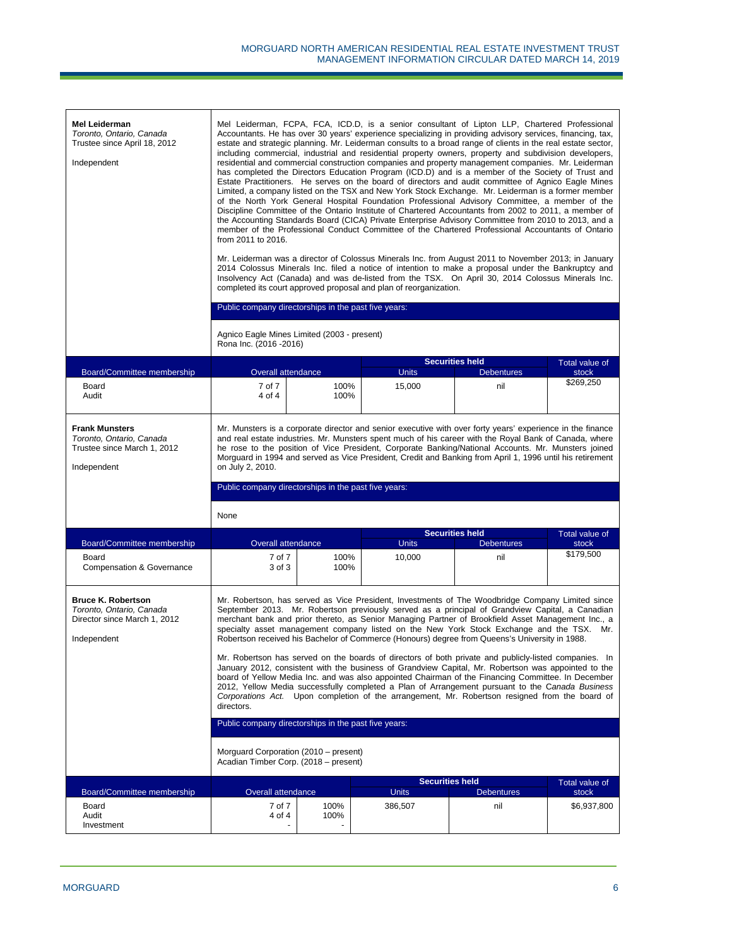| Mel Leiderman<br>Toronto, Ontario, Canada<br>Trustee since April 18, 2012<br>Independent             | Mel Leiderman, FCPA, FCA, ICD.D, is a senior consultant of Lipton LLP, Chartered Professional<br>Accountants. He has over 30 years' experience specializing in providing advisory services, financing, tax,<br>estate and strategic planning. Mr. Leiderman consults to a broad range of clients in the real estate sector,<br>including commercial, industrial and residential property owners, property and subdivision developers,<br>residential and commercial construction companies and property management companies. Mr. Leiderman<br>has completed the Directors Education Program (ICD.D) and is a member of the Society of Trust and<br>Estate Practitioners. He serves on the board of directors and audit committee of Agnico Eagle Mines<br>Limited, a company listed on the TSX and New York Stock Exchange. Mr. Leiderman is a former member<br>of the North York General Hospital Foundation Professional Advisory Committee, a member of the<br>Discipline Committee of the Ontario Institute of Chartered Accountants from 2002 to 2011, a member of<br>the Accounting Standards Board (CICA) Private Enterprise Advisory Committee from 2010 to 2013, and a<br>member of the Professional Conduct Committee of the Chartered Professional Accountants of Ontario<br>from 2011 to 2016.<br>Mr. Leiderman was a director of Colossus Minerals Inc. from August 2011 to November 2013; in January<br>2014 Colossus Minerals Inc. filed a notice of intention to make a proposal under the Bankruptcy and<br>Insolvency Act (Canada) and was de-listed from the TSX. On April 30, 2014 Colossus Minerals Inc.<br>completed its court approved proposal and plan of reorganization. |              |                         |                                                                                                                                                                                                                                                                                                                                                                                                                                                                                                                         |                         |  |  |
|------------------------------------------------------------------------------------------------------|-----------------------------------------------------------------------------------------------------------------------------------------------------------------------------------------------------------------------------------------------------------------------------------------------------------------------------------------------------------------------------------------------------------------------------------------------------------------------------------------------------------------------------------------------------------------------------------------------------------------------------------------------------------------------------------------------------------------------------------------------------------------------------------------------------------------------------------------------------------------------------------------------------------------------------------------------------------------------------------------------------------------------------------------------------------------------------------------------------------------------------------------------------------------------------------------------------------------------------------------------------------------------------------------------------------------------------------------------------------------------------------------------------------------------------------------------------------------------------------------------------------------------------------------------------------------------------------------------------------------------------------------------------------------------------------------------------|--------------|-------------------------|-------------------------------------------------------------------------------------------------------------------------------------------------------------------------------------------------------------------------------------------------------------------------------------------------------------------------------------------------------------------------------------------------------------------------------------------------------------------------------------------------------------------------|-------------------------|--|--|
|                                                                                                      | Public company directorships in the past five years:                                                                                                                                                                                                                                                                                                                                                                                                                                                                                                                                                                                                                                                                                                                                                                                                                                                                                                                                                                                                                                                                                                                                                                                                                                                                                                                                                                                                                                                                                                                                                                                                                                                |              |                         |                                                                                                                                                                                                                                                                                                                                                                                                                                                                                                                         |                         |  |  |
|                                                                                                      | Agnico Eagle Mines Limited (2003 - present)<br>Rona Inc. (2016 - 2016)                                                                                                                                                                                                                                                                                                                                                                                                                                                                                                                                                                                                                                                                                                                                                                                                                                                                                                                                                                                                                                                                                                                                                                                                                                                                                                                                                                                                                                                                                                                                                                                                                              |              |                         |                                                                                                                                                                                                                                                                                                                                                                                                                                                                                                                         |                         |  |  |
| Board/Committee membership                                                                           | Overall attendance                                                                                                                                                                                                                                                                                                                                                                                                                                                                                                                                                                                                                                                                                                                                                                                                                                                                                                                                                                                                                                                                                                                                                                                                                                                                                                                                                                                                                                                                                                                                                                                                                                                                                  |              | <b>Units</b>            | <b>Securities held</b><br><b>Debentures</b>                                                                                                                                                                                                                                                                                                                                                                                                                                                                             | Total value of<br>stock |  |  |
| Board<br>Audit                                                                                       | 7 of 7<br>4 of 4                                                                                                                                                                                                                                                                                                                                                                                                                                                                                                                                                                                                                                                                                                                                                                                                                                                                                                                                                                                                                                                                                                                                                                                                                                                                                                                                                                                                                                                                                                                                                                                                                                                                                    | 100%<br>100% | 15,000                  | nil                                                                                                                                                                                                                                                                                                                                                                                                                                                                                                                     | \$269,250               |  |  |
| <b>Frank Munsters</b><br>Toronto, Ontario, Canada<br>Trustee since March 1, 2012                     | Mr. Munsters is a corporate director and senior executive with over forty years' experience in the finance<br>and real estate industries. Mr. Munsters spent much of his career with the Royal Bank of Canada, where<br>he rose to the position of Vice President, Corporate Banking/National Accounts. Mr. Munsters joined<br>Morguard in 1994 and served as Vice President, Credit and Banking from April 1, 1996 until his retirement<br>on July 2, 2010.                                                                                                                                                                                                                                                                                                                                                                                                                                                                                                                                                                                                                                                                                                                                                                                                                                                                                                                                                                                                                                                                                                                                                                                                                                        |              |                         |                                                                                                                                                                                                                                                                                                                                                                                                                                                                                                                         |                         |  |  |
| Independent                                                                                          | Public company directorships in the past five years:                                                                                                                                                                                                                                                                                                                                                                                                                                                                                                                                                                                                                                                                                                                                                                                                                                                                                                                                                                                                                                                                                                                                                                                                                                                                                                                                                                                                                                                                                                                                                                                                                                                |              |                         |                                                                                                                                                                                                                                                                                                                                                                                                                                                                                                                         |                         |  |  |
|                                                                                                      | None                                                                                                                                                                                                                                                                                                                                                                                                                                                                                                                                                                                                                                                                                                                                                                                                                                                                                                                                                                                                                                                                                                                                                                                                                                                                                                                                                                                                                                                                                                                                                                                                                                                                                                |              |                         |                                                                                                                                                                                                                                                                                                                                                                                                                                                                                                                         |                         |  |  |
|                                                                                                      |                                                                                                                                                                                                                                                                                                                                                                                                                                                                                                                                                                                                                                                                                                                                                                                                                                                                                                                                                                                                                                                                                                                                                                                                                                                                                                                                                                                                                                                                                                                                                                                                                                                                                                     |              |                         | <b>Securities held</b>                                                                                                                                                                                                                                                                                                                                                                                                                                                                                                  | Total value of          |  |  |
| Board/Committee membership                                                                           | Overall attendance                                                                                                                                                                                                                                                                                                                                                                                                                                                                                                                                                                                                                                                                                                                                                                                                                                                                                                                                                                                                                                                                                                                                                                                                                                                                                                                                                                                                                                                                                                                                                                                                                                                                                  |              | <b>Units</b>            | <b>Debentures</b>                                                                                                                                                                                                                                                                                                                                                                                                                                                                                                       | stock                   |  |  |
| Board<br><b>Compensation &amp; Governance</b>                                                        | 7 of 7<br>3 of 3                                                                                                                                                                                                                                                                                                                                                                                                                                                                                                                                                                                                                                                                                                                                                                                                                                                                                                                                                                                                                                                                                                                                                                                                                                                                                                                                                                                                                                                                                                                                                                                                                                                                                    | 100%<br>100% | 10,000                  | nil                                                                                                                                                                                                                                                                                                                                                                                                                                                                                                                     | \$179,500               |  |  |
| <b>Bruce K. Robertson</b><br>Toronto, Ontario, Canada<br>Director since March 1, 2012<br>Independent |                                                                                                                                                                                                                                                                                                                                                                                                                                                                                                                                                                                                                                                                                                                                                                                                                                                                                                                                                                                                                                                                                                                                                                                                                                                                                                                                                                                                                                                                                                                                                                                                                                                                                                     |              |                         | Mr. Robertson, has served as Vice President, Investments of The Woodbridge Company Limited since<br>September 2013. Mr. Robertson previously served as a principal of Grandview Capital, a Canadian<br>merchant bank and prior thereto, as Senior Managing Partner of Brookfield Asset Management Inc., a<br>specialty asset management company listed on the New York Stock Exchange and the TSX. Mr.<br>Robertson received his Bachelor of Commerce (Honours) degree from Queens's University in 1988.                |                         |  |  |
|                                                                                                      | directors.                                                                                                                                                                                                                                                                                                                                                                                                                                                                                                                                                                                                                                                                                                                                                                                                                                                                                                                                                                                                                                                                                                                                                                                                                                                                                                                                                                                                                                                                                                                                                                                                                                                                                          |              |                         | Mr. Robertson has served on the boards of directors of both private and publicly-listed companies. In<br>January 2012, consistent with the business of Grandview Capital, Mr. Robertson was appointed to the<br>board of Yellow Media Inc. and was also appointed Chairman of the Financing Committee. In December<br>2012, Yellow Media successfully completed a Plan of Arrangement pursuant to the Canada Business<br>Corporations Act. Upon completion of the arrangement, Mr. Robertson resigned from the board of |                         |  |  |
|                                                                                                      | Public company directorships in the past five years:                                                                                                                                                                                                                                                                                                                                                                                                                                                                                                                                                                                                                                                                                                                                                                                                                                                                                                                                                                                                                                                                                                                                                                                                                                                                                                                                                                                                                                                                                                                                                                                                                                                |              |                         |                                                                                                                                                                                                                                                                                                                                                                                                                                                                                                                         |                         |  |  |
|                                                                                                      | Morguard Corporation (2010 – present)<br>Acadian Timber Corp. (2018 - present)                                                                                                                                                                                                                                                                                                                                                                                                                                                                                                                                                                                                                                                                                                                                                                                                                                                                                                                                                                                                                                                                                                                                                                                                                                                                                                                                                                                                                                                                                                                                                                                                                      |              |                         |                                                                                                                                                                                                                                                                                                                                                                                                                                                                                                                         |                         |  |  |
|                                                                                                      |                                                                                                                                                                                                                                                                                                                                                                                                                                                                                                                                                                                                                                                                                                                                                                                                                                                                                                                                                                                                                                                                                                                                                                                                                                                                                                                                                                                                                                                                                                                                                                                                                                                                                                     |              |                         | <b>Securities held</b>                                                                                                                                                                                                                                                                                                                                                                                                                                                                                                  | Total value of          |  |  |
| Board/Committee membership<br>Board                                                                  | Overall attendance<br>7 of 7                                                                                                                                                                                                                                                                                                                                                                                                                                                                                                                                                                                                                                                                                                                                                                                                                                                                                                                                                                                                                                                                                                                                                                                                                                                                                                                                                                                                                                                                                                                                                                                                                                                                        | 100%         | <b>Units</b><br>386,507 | <b>Debentures</b><br>nil                                                                                                                                                                                                                                                                                                                                                                                                                                                                                                | stock<br>\$6,937,800    |  |  |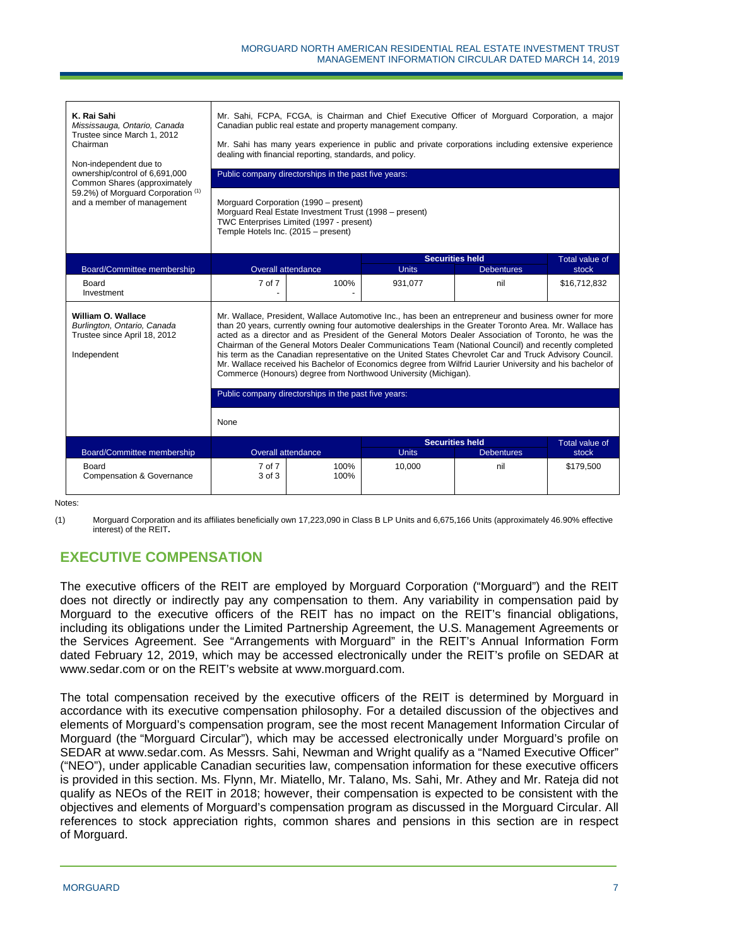| K. Rai Sahi<br>Mississauga, Ontario, Canada<br>Trustee since March 1, 2012<br>Chairman<br>Non-independent due to<br>ownership/control of 6.691.000<br>Common Shares (approximately<br>59.2%) of Morguard Corporation (1)<br>and a member of management | Mr. Sahi, FCPA, FCGA, is Chairman and Chief Executive Officer of Morguard Corporation, a major<br>Canadian public real estate and property management company.<br>Mr. Sahi has many years experience in public and private corporations including extensive experience<br>dealing with financial reporting, standards, and policy.<br>Public company directorships in the past five years:<br>Morguard Corporation (1990 - present)<br>Morguard Real Estate Investment Trust (1998 - present)<br>TWC Enterprises Limited (1997 - present)<br>Temple Hotels Inc. (2015 - present)                                                                                                                                           |                                                      |                                        |                   |                         |  |
|--------------------------------------------------------------------------------------------------------------------------------------------------------------------------------------------------------------------------------------------------------|----------------------------------------------------------------------------------------------------------------------------------------------------------------------------------------------------------------------------------------------------------------------------------------------------------------------------------------------------------------------------------------------------------------------------------------------------------------------------------------------------------------------------------------------------------------------------------------------------------------------------------------------------------------------------------------------------------------------------|------------------------------------------------------|----------------------------------------|-------------------|-------------------------|--|
| Board/Committee membership                                                                                                                                                                                                                             | Overall attendance                                                                                                                                                                                                                                                                                                                                                                                                                                                                                                                                                                                                                                                                                                         |                                                      | <b>Securities held</b><br><b>Units</b> | <b>Debentures</b> | Total value of<br>stock |  |
| Board<br>Investment                                                                                                                                                                                                                                    | 7 of 7                                                                                                                                                                                                                                                                                                                                                                                                                                                                                                                                                                                                                                                                                                                     | 100%                                                 | 931,077                                | nil               | \$16,712,832            |  |
| William O. Wallace<br>Burlington, Ontario, Canada<br>Trustee since April 18, 2012<br>Independent                                                                                                                                                       | Mr. Wallace, President, Wallace Automotive Inc., has been an entrepreneur and business owner for more<br>than 20 years, currently owning four automotive dealerships in the Greater Toronto Area. Mr. Wallace has<br>acted as a director and as President of the General Motors Dealer Association of Toronto, he was the<br>Chairman of the General Motors Dealer Communications Team (National Council) and recently completed<br>his term as the Canadian representative on the United States Chevrolet Car and Truck Advisory Council.<br>Mr. Wallace received his Bachelor of Economics degree from Wilfrid Laurier University and his bachelor of<br>Commerce (Honours) degree from Northwood University (Michigan). |                                                      |                                        |                   |                         |  |
|                                                                                                                                                                                                                                                        |                                                                                                                                                                                                                                                                                                                                                                                                                                                                                                                                                                                                                                                                                                                            | Public company directorships in the past five years: |                                        |                   |                         |  |
|                                                                                                                                                                                                                                                        | None                                                                                                                                                                                                                                                                                                                                                                                                                                                                                                                                                                                                                                                                                                                       |                                                      |                                        |                   |                         |  |
|                                                                                                                                                                                                                                                        | Overall attendance                                                                                                                                                                                                                                                                                                                                                                                                                                                                                                                                                                                                                                                                                                         |                                                      | <b>Securities held</b><br><b>Units</b> | <b>Debentures</b> | Total value of          |  |
| Board/Committee membership<br>Board<br><b>Compensation &amp; Governance</b>                                                                                                                                                                            | 7 of 7<br>3 of 3                                                                                                                                                                                                                                                                                                                                                                                                                                                                                                                                                                                                                                                                                                           | 100%<br>100%                                         | 10,000                                 | nil               | stock<br>\$179,500      |  |

Notes:

(1) Morguard Corporation and its affiliates beneficially own 17,223,090 in Class B LP Units and 6,675,166 Units (approximately 46.90% effective interest) of the REIT**.**

# **EXECUTIVE COMPENSATION**

The executive officers of the REIT are employed by Morguard Corporation ("Morguard") and the REIT does not directly or indirectly pay any compensation to them. Any variability in compensation paid by Morguard to the executive officers of the REIT has no impact on the REIT's financial obligations, including its obligations under the Limited Partnership Agreement, the U.S. Management Agreements or the Services Agreement. See "Arrangements with Morguard" in the REIT's Annual Information Form dated February 12, 2019, which may be accessed electronically under the REIT's profile on SEDAR at www.sedar.com or on the REIT's website at www.morguard.com.

The total compensation received by the executive officers of the REIT is determined by Morguard in accordance with its executive compensation philosophy. For a detailed discussion of the objectives and elements of Morguard's compensation program, see the most recent Management Information Circular of Morguard (the "Morguard Circular"), which may be accessed electronically under Morguard's profile on SEDAR at www.sedar.com. As Messrs. Sahi, Newman and Wright qualify as a "Named Executive Officer" ("NEO"), under applicable Canadian securities law, compensation information for these executive officers is provided in this section. Ms. Flynn, Mr. Miatello, Mr. Talano, Ms. Sahi, Mr. Athey and Mr. Rateja did not qualify as NEOs of the REIT in 2018; however, their compensation is expected to be consistent with the objectives and elements of Morguard's compensation program as discussed in the Morguard Circular. All references to stock appreciation rights, common shares and pensions in this section are in respect of Morguard.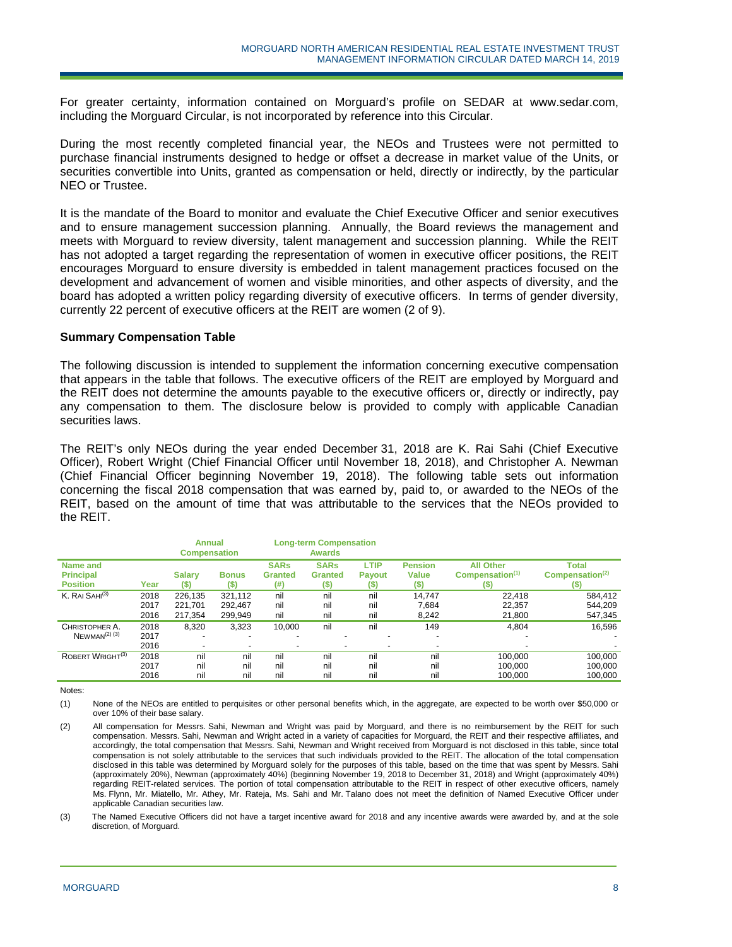For greater certainty, information contained on Morguard's profile on SEDAR at www.sedar.com, including the Morguard Circular, is not incorporated by reference into this Circular.

During the most recently completed financial year, the NEOs and Trustees were not permitted to purchase financial instruments designed to hedge or offset a decrease in market value of the Units, or securities convertible into Units, granted as compensation or held, directly or indirectly, by the particular NEO or Trustee.

It is the mandate of the Board to monitor and evaluate the Chief Executive Officer and senior executives and to ensure management succession planning. Annually, the Board reviews the management and meets with Morguard to review diversity, talent management and succession planning. While the REIT has not adopted a target regarding the representation of women in executive officer positions, the REIT encourages Morguard to ensure diversity is embedded in talent management practices focused on the development and advancement of women and visible minorities, and other aspects of diversity, and the board has adopted a written policy regarding diversity of executive officers. In terms of gender diversity, currently 22 percent of executive officers at the REIT are women (2 of 9).

#### **Summary Compensation Table**

The following discussion is intended to supplement the information concerning executive compensation that appears in the table that follows. The executive officers of the REIT are employed by Morguard and the REIT does not determine the amounts payable to the executive officers or, directly or indirectly, pay any compensation to them. The disclosure below is provided to comply with applicable Canadian securities laws.

The REIT's only NEOs during the year ended December 31, 2018 are K. Rai Sahi (Chief Executive Officer), Robert Wright (Chief Financial Officer until November 18, 2018), and Christopher A. Newman (Chief Financial Officer beginning November 19, 2018). The following table sets out information concerning the fiscal 2018 compensation that was earned by, paid to, or awarded to the NEOs of the REIT, based on the amount of time that was attributable to the services that the NEOs provided to the REIT.

|                                                 |      | <b>Annual</b><br><b>Compensation</b> |                     |                                       | <b>Long-term Compensation</b><br><b>Awards</b> |                                      |                                        |                                                         |                                                     |
|-------------------------------------------------|------|--------------------------------------|---------------------|---------------------------------------|------------------------------------------------|--------------------------------------|----------------------------------------|---------------------------------------------------------|-----------------------------------------------------|
| Name and<br><b>Principal</b><br><b>Position</b> | Year | <b>Salary</b><br>(S)                 | <b>Bonus</b><br>(S) | <b>SARs</b><br><b>Granted</b><br>(# ) | <b>SARs</b><br><b>Granted</b><br>$($ \$)       | <b>LTIP</b><br><b>Pavout</b><br>(\$) | <b>Pension</b><br><b>Value</b><br>(\$) | <b>All Other</b><br>Compensation <sup>(1)</sup><br>(\$) | <b>Total</b><br>Compensation <sup>(2)</sup><br>(\$) |
| K. RAI SAHI <sup>(3)</sup>                      | 2018 | 226.135                              | 321.112             | nil                                   | nil                                            | nil                                  | 14.747                                 | 22.418                                                  | 584.412                                             |
|                                                 | 2017 | 221,701                              | 292,467             | nil                                   | nil                                            | nil                                  | 7,684                                  | 22,357                                                  | 544.209                                             |
|                                                 | 2016 | 217,354                              | 299.949             | nil                                   | nil                                            | nil                                  | 8,242                                  | 21,800                                                  | 547,345                                             |
| CHRISTOPHER A.                                  | 2018 | 8.320                                | 3,323               | 10,000                                | nil                                            | nil                                  | 149                                    | 4.804                                                   | 16.596                                              |
| $N$ EWMAN <sup>(2) (3)</sup>                    | 2017 |                                      | ۰                   |                                       |                                                |                                      | $\overline{\phantom{0}}$               |                                                         |                                                     |
|                                                 | 2016 | $\overline{\phantom{a}}$             | ٠                   |                                       | ۰                                              |                                      | $\overline{\phantom{a}}$               |                                                         |                                                     |
| ROBERT WRIGHT <sup>(3)</sup>                    | 2018 | nil                                  | nil                 | nil                                   | nil                                            | nil                                  | nil                                    | 100.000                                                 | 100,000                                             |
|                                                 | 2017 | nil                                  | nil                 | nil                                   | nil                                            | nil                                  | nil                                    | 100.000                                                 | 100.000                                             |
|                                                 | 2016 | nil                                  | nil                 | nil                                   | nil                                            | nil                                  | nil                                    | 100.000                                                 | 100.000                                             |

Notes:

(1) None of the NEOs are entitled to perquisites or other personal benefits which, in the aggregate, are expected to be worth over \$50,000 or over 10% of their base salary.

<sup>(2)</sup> All compensation for Messrs. Sahi, Newman and Wright was paid by Morguard, and there is no reimbursement by the REIT for such compensation. Messrs. Sahi, Newman and Wright acted in a variety of capacities for Morguard, the REIT and their respective affiliates, and accordingly, the total compensation that Messrs. Sahi, Newman and Wright received from Morguard is not disclosed in this table, since total compensation is not solely attributable to the services that such individuals provided to the REIT. The allocation of the total compensation disclosed in this table was determined by Morguard solely for the purposes of this table, based on the time that was spent by Messrs. Sahi (approximately 20%), Newman (approximately 40%) (beginning November 19, 2018 to December 31, 2018) and Wright (approximately 40%) regarding REIT-related services. The portion of total compensation attributable to the REIT in respect of other executive officers, namely Ms. Flynn, Mr. Miatello, Mr. Athey, Mr. Rateja, Ms. Sahi and Mr. Talano does not meet the definition of Named Executive Officer under applicable Canadian securities law.

<sup>(3)</sup> The Named Executive Officers did not have a target incentive award for 2018 and any incentive awards were awarded by, and at the sole discretion, of Morguard.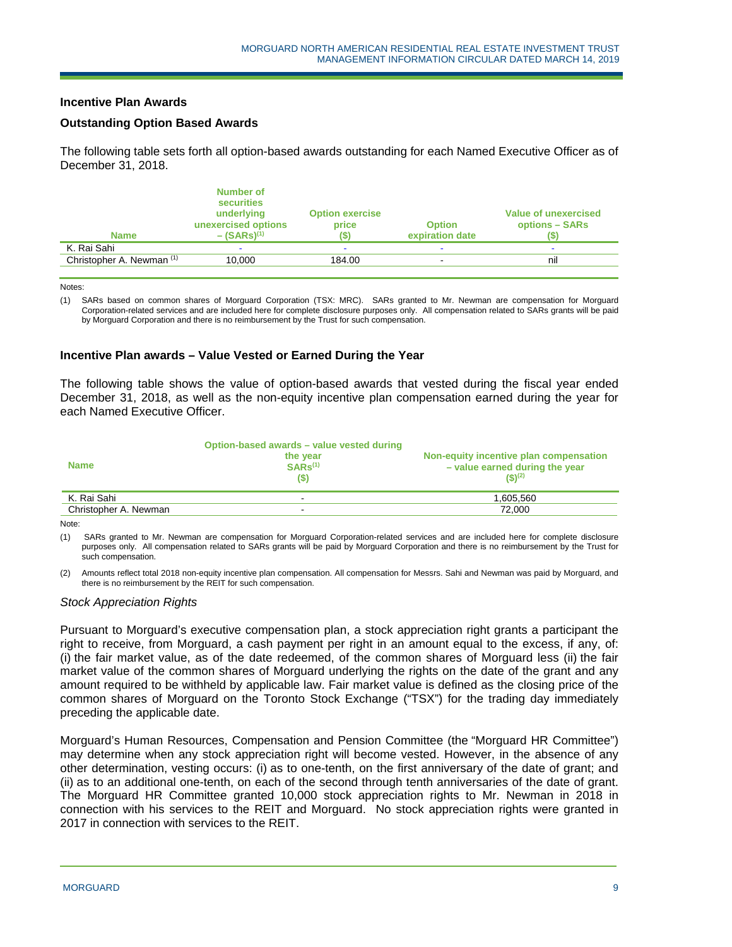### **Incentive Plan Awards**

### **Outstanding Option Based Awards**

The following table sets forth all option-based awards outstanding for each Named Executive Officer as of December 31, 2018.

| <b>Name</b>               | Number of<br>securities<br>underlying<br>unexercised options<br>$-(SARS)^{(1)}$ | <b>Option exercise</b><br>price | <b>Option</b><br>expiration date | Value of unexercised<br>options - SARs |
|---------------------------|---------------------------------------------------------------------------------|---------------------------------|----------------------------------|----------------------------------------|
| K. Rai Sahi               |                                                                                 |                                 |                                  |                                        |
| Christopher A. Newman (1) | 10.000                                                                          | 184.00                          |                                  | nil                                    |
|                           |                                                                                 |                                 |                                  |                                        |

Notes:

(1) SARs based on common shares of Morguard Corporation (TSX: MRC). SARs granted to Mr. Newman are compensation for Morguard Corporation-related services and are included here for complete disclosure purposes only. All compensation related to SARs grants will be paid by Morguard Corporation and there is no reimbursement by the Trust for such compensation.

#### **Incentive Plan awards – Value Vested or Earned During the Year**

The following table shows the value of option-based awards that vested during the fiscal year ended December 31, 2018, as well as the non-equity incentive plan compensation earned during the year for each Named Executive Officer.

| <b>Name</b>           | Option-based awards - value vested during<br>the year<br>$SARS^{(1)}$<br>(S) | Non-equity incentive plan compensation<br>- value earned during the year<br>$($ \$) <sup>(2)</sup> |
|-----------------------|------------------------------------------------------------------------------|----------------------------------------------------------------------------------------------------|
| K. Rai Sahi           | ۰.                                                                           | 1.605.560                                                                                          |
| Christopher A. Newman |                                                                              | 72.000                                                                                             |

Note:

(1) SARs granted to Mr. Newman are compensation for Morguard Corporation-related services and are included here for complete disclosure purposes only. All compensation related to SARs grants will be paid by Morguard Corporation and there is no reimbursement by the Trust for such compensation.

(2) Amounts reflect total 2018 non-equity incentive plan compensation. All compensation for Messrs. Sahi and Newman was paid by Morguard, and there is no reimbursement by the REIT for such compensation.

#### *Stock Appreciation Rights*

Pursuant to Morguard's executive compensation plan, a stock appreciation right grants a participant the right to receive, from Morguard, a cash payment per right in an amount equal to the excess, if any, of: (i) the fair market value, as of the date redeemed, of the common shares of Morguard less (ii) the fair market value of the common shares of Morguard underlying the rights on the date of the grant and any amount required to be withheld by applicable law. Fair market value is defined as the closing price of the common shares of Morguard on the Toronto Stock Exchange ("TSX") for the trading day immediately preceding the applicable date.

Morguard's Human Resources, Compensation and Pension Committee (the "Morguard HR Committee") may determine when any stock appreciation right will become vested. However, in the absence of any other determination, vesting occurs: (i) as to one-tenth, on the first anniversary of the date of grant; and (ii) as to an additional one-tenth, on each of the second through tenth anniversaries of the date of grant. The Morguard HR Committee granted 10,000 stock appreciation rights to Mr. Newman in 2018 in connection with his services to the REIT and Morguard. No stock appreciation rights were granted in 2017 in connection with services to the REIT.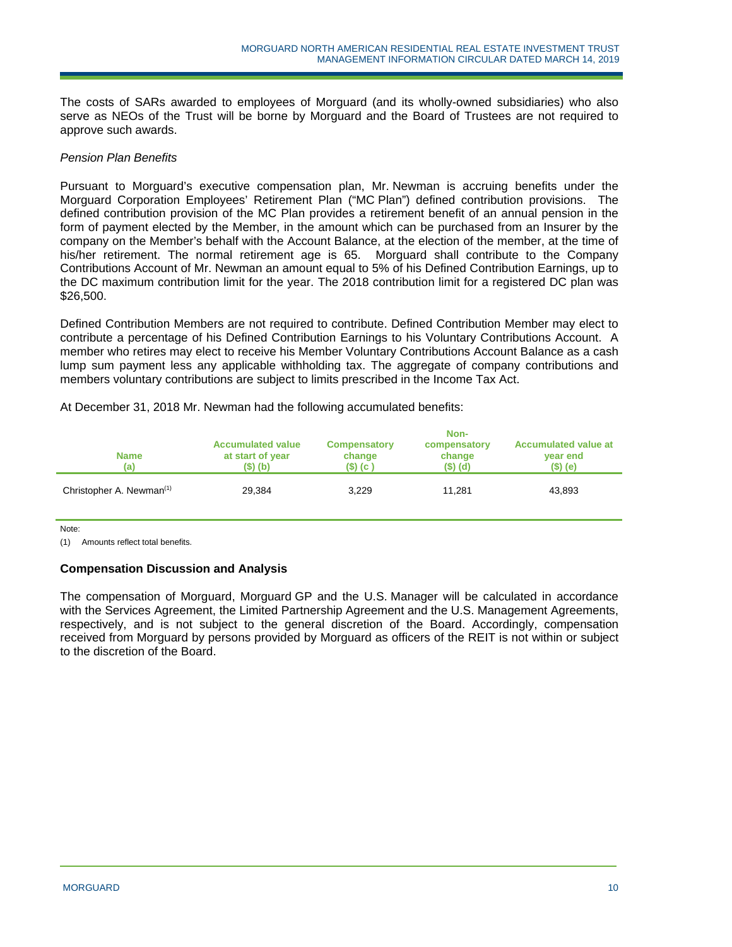The costs of SARs awarded to employees of Morguard (and its wholly-owned subsidiaries) who also serve as NEOs of the Trust will be borne by Morguard and the Board of Trustees are not required to approve such awards.

### *Pension Plan Benefits*

Pursuant to Morguard's executive compensation plan, Mr. Newman is accruing benefits under the Morguard Corporation Employees' Retirement Plan ("MC Plan") defined contribution provisions. The defined contribution provision of the MC Plan provides a retirement benefit of an annual pension in the form of payment elected by the Member, in the amount which can be purchased from an Insurer by the company on the Member's behalf with the Account Balance, at the election of the member, at the time of his/her retirement. The normal retirement age is 65. Morguard shall contribute to the Company Contributions Account of Mr. Newman an amount equal to 5% of his Defined Contribution Earnings, up to the DC maximum contribution limit for the year. The 2018 contribution limit for a registered DC plan was \$26,500.

Defined Contribution Members are not required to contribute. Defined Contribution Member may elect to contribute a percentage of his Defined Contribution Earnings to his Voluntary Contributions Account. A member who retires may elect to receive his Member Voluntary Contributions Account Balance as a cash lump sum payment less any applicable withholding tax. The aggregate of company contributions and members voluntary contributions are subject to limits prescribed in the Income Tax Act.

| At December 31, 2018 Mr. Newman had the following accumulated benefits: |
|-------------------------------------------------------------------------|
|-------------------------------------------------------------------------|

|                                      |                                                          |                                            | Non-                               |                                                        |
|--------------------------------------|----------------------------------------------------------|--------------------------------------------|------------------------------------|--------------------------------------------------------|
| <b>Name</b><br>(a)                   | <b>Accumulated value</b><br>at start of year<br>(\$) (b) | <b>Compensatory</b><br>change<br>(\$) (c ) | compensatory<br>change<br>(\$) (d) | <b>Accumulated value at</b><br>year end<br>$($ \$) (e) |
| Christopher A. Newman <sup>(1)</sup> | 29,384                                                   | 3.229                                      | 11.281                             | 43,893                                                 |

Note:

(1) Amounts reflect total benefits.

### **Compensation Discussion and Analysis**

The compensation of Morguard, Morguard GP and the U.S. Manager will be calculated in accordance with the Services Agreement, the Limited Partnership Agreement and the U.S. Management Agreements, respectively, and is not subject to the general discretion of the Board. Accordingly, compensation received from Morguard by persons provided by Morguard as officers of the REIT is not within or subject to the discretion of the Board.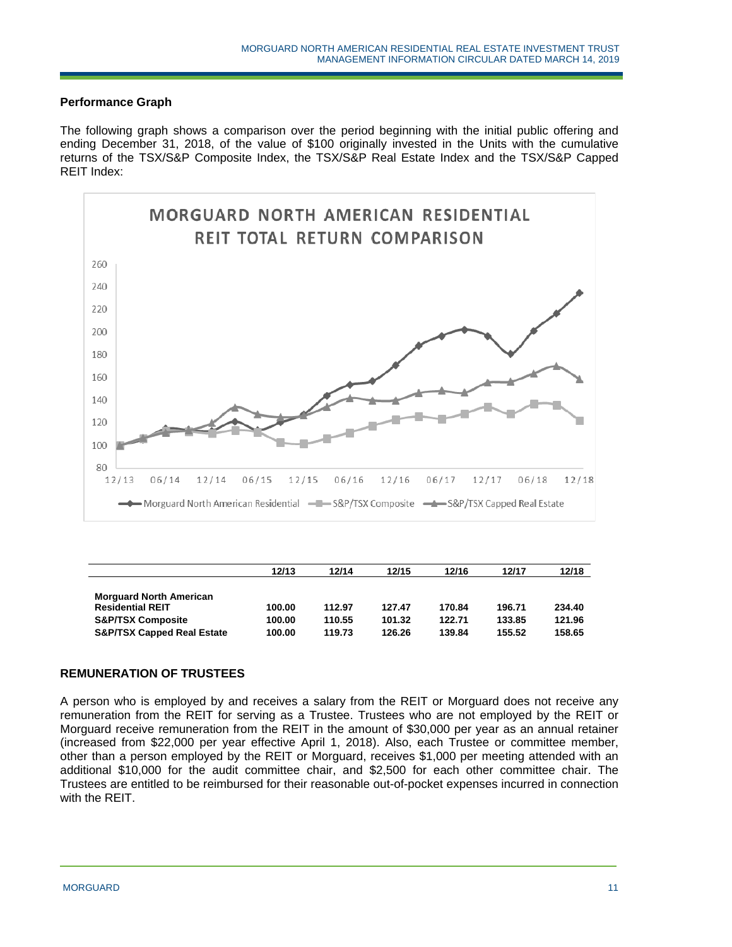## **Performance Graph**

The following graph shows a comparison over the period beginning with the initial public offering and ending December 31, 2018, of the value of \$100 originally invested in the Units with the cumulative returns of the TSX/S&P Composite Index, the TSX/S&P Real Estate Index and the TSX/S&P Capped REIT Index:



|                                       | 12/13  | 12/14  | 12/15  | 12/16  | 12/17  | 12/18  |
|---------------------------------------|--------|--------|--------|--------|--------|--------|
|                                       |        |        |        |        |        |        |
| <b>Morguard North American</b>        |        |        |        |        |        |        |
| <b>Residential REIT</b>               | 100.00 | 112.97 | 127.47 | 170.84 | 196.71 | 234.40 |
| <b>S&amp;P/TSX Composite</b>          | 100.00 | 110.55 | 101.32 | 122.71 | 133.85 | 121.96 |
| <b>S&amp;P/TSX Capped Real Estate</b> | 100.00 | 119.73 | 126.26 | 139.84 | 155.52 | 158.65 |

### **REMUNERATION OF TRUSTEES**

A person who is employed by and receives a salary from the REIT or Morguard does not receive any remuneration from the REIT for serving as a Trustee. Trustees who are not employed by the REIT or Morguard receive remuneration from the REIT in the amount of \$30,000 per year as an annual retainer (increased from \$22,000 per year effective April 1, 2018). Also, each Trustee or committee member, other than a person employed by the REIT or Morguard, receives \$1,000 per meeting attended with an additional \$10,000 for the audit committee chair, and \$2,500 for each other committee chair. The Trustees are entitled to be reimbursed for their reasonable out-of-pocket expenses incurred in connection with the REIT.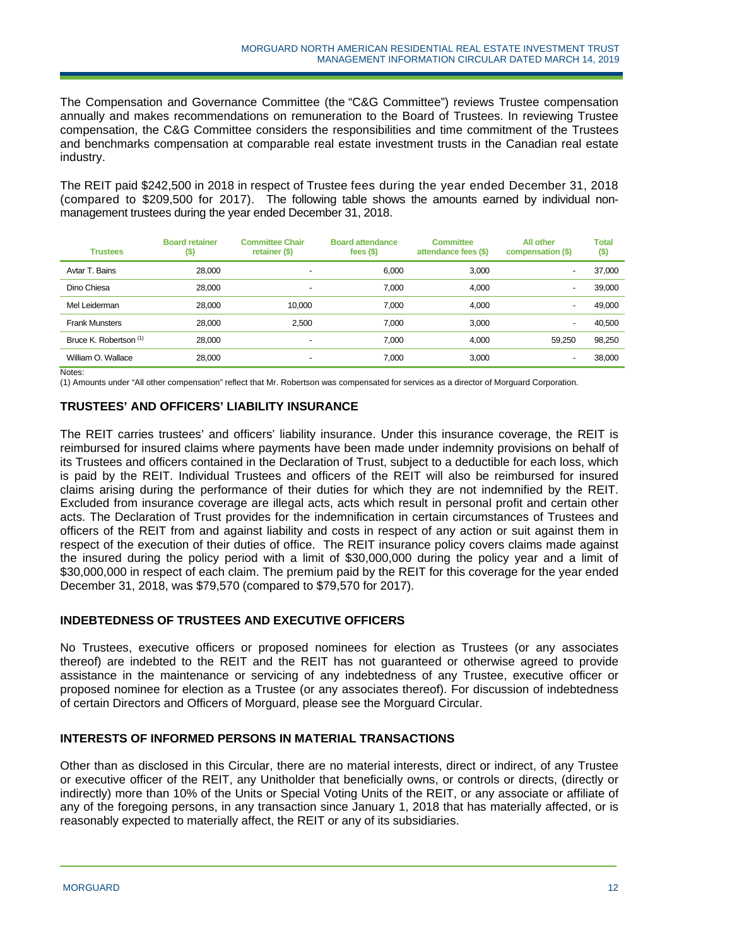The Compensation and Governance Committee (the "C&G Committee") reviews Trustee compensation annually and makes recommendations on remuneration to the Board of Trustees. In reviewing Trustee compensation, the C&G Committee considers the responsibilities and time commitment of the Trustees and benchmarks compensation at comparable real estate investment trusts in the Canadian real estate industry.

The REIT paid \$242,500 in 2018 in respect of Trustee fees during the year ended December 31, 2018 (compared to \$209,500 for 2017). The following table shows the amounts earned by individual nonmanagement trustees during the year ended December 31, 2018.

| <b>Trustees</b>        | <b>Board retainer</b><br>$(\$)$ | <b>Committee Chair</b><br>retainer (\$) | <b>Board attendance</b><br>fees $($)$ | <b>Committee</b><br>attendance fees (\$) | <b>All other</b><br>compensation (\$) | <b>Total</b><br>$($)$ |
|------------------------|---------------------------------|-----------------------------------------|---------------------------------------|------------------------------------------|---------------------------------------|-----------------------|
| Avtar T. Bains         | 28,000                          | $\overline{\phantom{0}}$                | 6,000                                 | 3.000                                    | $\overline{\phantom{0}}$              | 37,000                |
| Dino Chiesa            | 28,000                          | $\overline{\phantom{0}}$                | 7.000                                 | 4.000                                    | $\overline{\phantom{0}}$              | 39,000                |
| Mel Leiderman          | 28.000                          | 10.000                                  | 7.000                                 | 4.000                                    | $\overline{\phantom{0}}$              | 49,000                |
| <b>Frank Munsters</b>  | 28,000                          | 2.500                                   | 7.000                                 | 3.000                                    | $\overline{\phantom{0}}$              | 40.500                |
| Bruce K. Robertson (1) | 28,000                          | $\overline{\phantom{0}}$                | 7.000                                 | 4.000                                    | 59.250                                | 98,250                |
| William O. Wallace     | 28,000                          | -                                       | 7.000                                 | 3.000                                    | $\overline{\phantom{0}}$              | 38.000                |

Notes:

(1) Amounts under "All other compensation" reflect that Mr. Robertson was compensated for services as a director of Morguard Corporation.

### **TRUSTEES' AND OFFICERS' LIABILITY INSURANCE**

The REIT carries trustees' and officers' liability insurance. Under this insurance coverage, the REIT is reimbursed for insured claims where payments have been made under indemnity provisions on behalf of its Trustees and officers contained in the Declaration of Trust, subject to a deductible for each loss, which is paid by the REIT. Individual Trustees and officers of the REIT will also be reimbursed for insured claims arising during the performance of their duties for which they are not indemnified by the REIT. Excluded from insurance coverage are illegal acts, acts which result in personal profit and certain other acts. The Declaration of Trust provides for the indemnification in certain circumstances of Trustees and officers of the REIT from and against liability and costs in respect of any action or suit against them in respect of the execution of their duties of office. The REIT insurance policy covers claims made against the insured during the policy period with a limit of \$30,000,000 during the policy year and a limit of \$30,000,000 in respect of each claim. The premium paid by the REIT for this coverage for the year ended December 31, 2018, was \$79,570 (compared to \$79,570 for 2017).

# **INDEBTEDNESS OF TRUSTEES AND EXECUTIVE OFFICERS**

No Trustees, executive officers or proposed nominees for election as Trustees (or any associates thereof) are indebted to the REIT and the REIT has not guaranteed or otherwise agreed to provide assistance in the maintenance or servicing of any indebtedness of any Trustee, executive officer or proposed nominee for election as a Trustee (or any associates thereof). For discussion of indebtedness of certain Directors and Officers of Morguard, please see the Morguard Circular.

### **INTERESTS OF INFORMED PERSONS IN MATERIAL TRANSACTIONS**

Other than as disclosed in this Circular, there are no material interests, direct or indirect, of any Trustee or executive officer of the REIT, any Unitholder that beneficially owns, or controls or directs, (directly or indirectly) more than 10% of the Units or Special Voting Units of the REIT, or any associate or affiliate of any of the foregoing persons, in any transaction since January 1, 2018 that has materially affected, or is reasonably expected to materially affect, the REIT or any of its subsidiaries.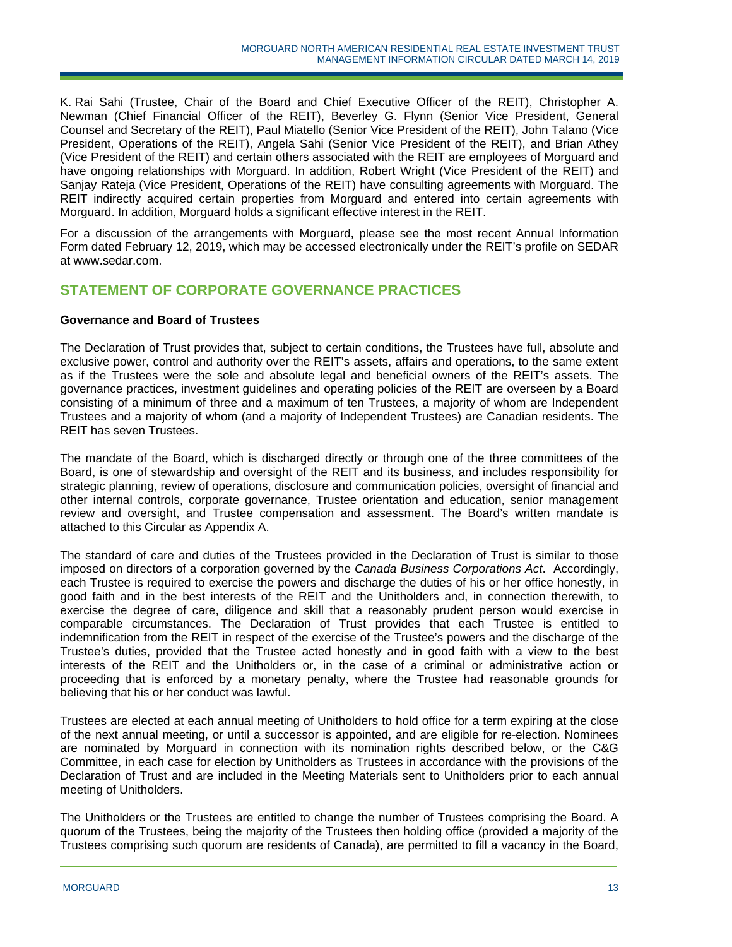K. Rai Sahi (Trustee, Chair of the Board and Chief Executive Officer of the REIT), Christopher A. Newman (Chief Financial Officer of the REIT), Beverley G. Flynn (Senior Vice President, General Counsel and Secretary of the REIT), Paul Miatello (Senior Vice President of the REIT), John Talano (Vice President, Operations of the REIT), Angela Sahi (Senior Vice President of the REIT), and Brian Athey (Vice President of the REIT) and certain others associated with the REIT are employees of Morguard and have ongoing relationships with Morguard. In addition, Robert Wright (Vice President of the REIT) and Sanjay Rateja (Vice President, Operations of the REIT) have consulting agreements with Morguard. The REIT indirectly acquired certain properties from Morguard and entered into certain agreements with Morguard. In addition, Morguard holds a significant effective interest in the REIT.

For a discussion of the arrangements with Morguard, please see the most recent Annual Information Form dated February 12, 2019, which may be accessed electronically under the REIT's profile on SEDAR at www.sedar.com.

# **STATEMENT OF CORPORATE GOVERNANCE PRACTICES**

### **Governance and Board of Trustees**

The Declaration of Trust provides that, subject to certain conditions, the Trustees have full, absolute and exclusive power, control and authority over the REIT's assets, affairs and operations, to the same extent as if the Trustees were the sole and absolute legal and beneficial owners of the REIT's assets. The governance practices, investment guidelines and operating policies of the REIT are overseen by a Board consisting of a minimum of three and a maximum of ten Trustees, a majority of whom are Independent Trustees and a majority of whom (and a majority of Independent Trustees) are Canadian residents. The REIT has seven Trustees.

The mandate of the Board, which is discharged directly or through one of the three committees of the Board, is one of stewardship and oversight of the REIT and its business, and includes responsibility for strategic planning, review of operations, disclosure and communication policies, oversight of financial and other internal controls, corporate governance, Trustee orientation and education, senior management review and oversight, and Trustee compensation and assessment. The Board's written mandate is attached to this Circular as Appendix A.

The standard of care and duties of the Trustees provided in the Declaration of Trust is similar to those imposed on directors of a corporation governed by the *Canada Business Corporations Act*. Accordingly, each Trustee is required to exercise the powers and discharge the duties of his or her office honestly, in good faith and in the best interests of the REIT and the Unitholders and, in connection therewith, to exercise the degree of care, diligence and skill that a reasonably prudent person would exercise in comparable circumstances. The Declaration of Trust provides that each Trustee is entitled to indemnification from the REIT in respect of the exercise of the Trustee's powers and the discharge of the Trustee's duties, provided that the Trustee acted honestly and in good faith with a view to the best interests of the REIT and the Unitholders or, in the case of a criminal or administrative action or proceeding that is enforced by a monetary penalty, where the Trustee had reasonable grounds for believing that his or her conduct was lawful.

Trustees are elected at each annual meeting of Unitholders to hold office for a term expiring at the close of the next annual meeting, or until a successor is appointed, and are eligible for re-election. Nominees are nominated by Morguard in connection with its nomination rights described below, or the C&G Committee, in each case for election by Unitholders as Trustees in accordance with the provisions of the Declaration of Trust and are included in the Meeting Materials sent to Unitholders prior to each annual meeting of Unitholders.

The Unitholders or the Trustees are entitled to change the number of Trustees comprising the Board. A quorum of the Trustees, being the majority of the Trustees then holding office (provided a majority of the Trustees comprising such quorum are residents of Canada), are permitted to fill a vacancy in the Board,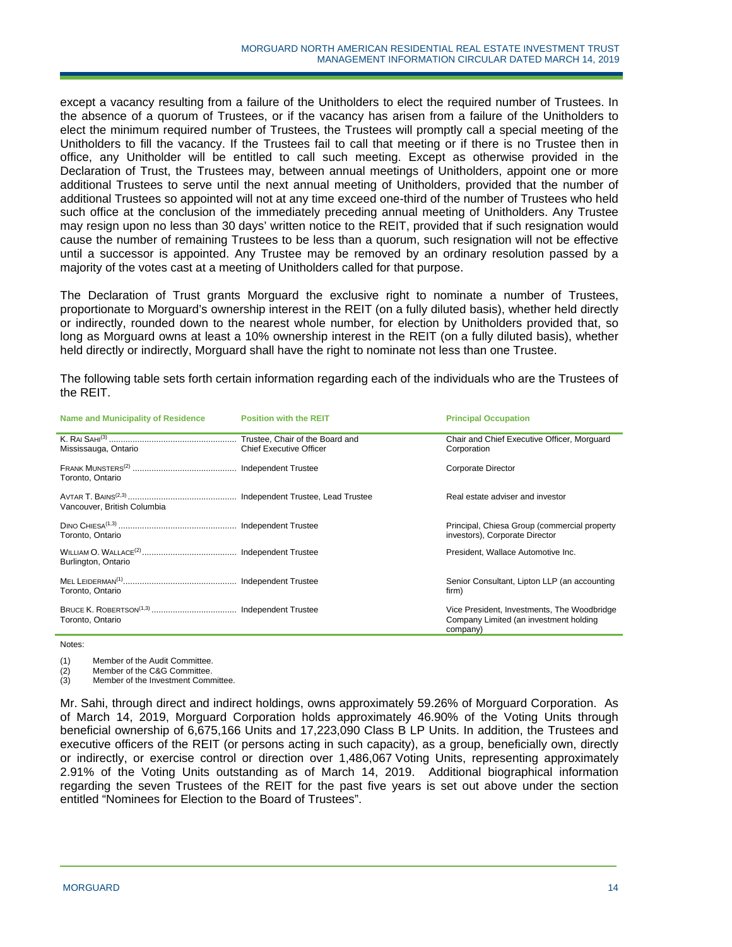except a vacancy resulting from a failure of the Unitholders to elect the required number of Trustees. In the absence of a quorum of Trustees, or if the vacancy has arisen from a failure of the Unitholders to elect the minimum required number of Trustees, the Trustees will promptly call a special meeting of the Unitholders to fill the vacancy. If the Trustees fail to call that meeting or if there is no Trustee then in office, any Unitholder will be entitled to call such meeting. Except as otherwise provided in the Declaration of Trust, the Trustees may, between annual meetings of Unitholders, appoint one or more additional Trustees to serve until the next annual meeting of Unitholders, provided that the number of additional Trustees so appointed will not at any time exceed one-third of the number of Trustees who held such office at the conclusion of the immediately preceding annual meeting of Unitholders. Any Trustee may resign upon no less than 30 days' written notice to the REIT, provided that if such resignation would cause the number of remaining Trustees to be less than a quorum, such resignation will not be effective until a successor is appointed. Any Trustee may be removed by an ordinary resolution passed by a majority of the votes cast at a meeting of Unitholders called for that purpose.

The Declaration of Trust grants Morguard the exclusive right to nominate a number of Trustees, proportionate to Morguard's ownership interest in the REIT (on a fully diluted basis), whether held directly or indirectly, rounded down to the nearest whole number, for election by Unitholders provided that, so long as Morguard owns at least a 10% ownership interest in the REIT (on a fully diluted basis), whether held directly or indirectly, Morguard shall have the right to nominate not less than one Trustee.

The following table sets forth certain information regarding each of the individuals who are the Trustees of the REIT.

| <b>Name and Municipality of Residence</b> | <b>Position with the REIT</b>  | <b>Principal Occupation</b>                                                                       |  |
|-------------------------------------------|--------------------------------|---------------------------------------------------------------------------------------------------|--|
| Mississauga, Ontario                      | <b>Chief Executive Officer</b> | Chair and Chief Executive Officer, Morguard<br>Corporation                                        |  |
| Toronto, Ontario                          |                                | <b>Corporate Director</b>                                                                         |  |
| Vancouver, British Columbia               |                                | Real estate adviser and investor                                                                  |  |
| Toronto, Ontario                          |                                | Principal, Chiesa Group (commercial property<br>investors), Corporate Director                    |  |
| Burlington, Ontario                       |                                | President, Wallace Automotive Inc.                                                                |  |
| Toronto, Ontario                          |                                | Senior Consultant, Lipton LLP (an accounting<br>firm)                                             |  |
| Toronto, Ontario                          |                                | Vice President, Investments, The Woodbridge<br>Company Limited (an investment holding<br>company) |  |

Notes:

(1) Member of the Audit Committee.

(2) Member of the C&G Committee.

(3) Member of the Investment Committee.

Mr. Sahi, through direct and indirect holdings, owns approximately 59.26% of Morguard Corporation. As of March 14, 2019, Morguard Corporation holds approximately 46.90% of the Voting Units through beneficial ownership of 6,675,166 Units and 17,223,090 Class B LP Units. In addition, the Trustees and executive officers of the REIT (or persons acting in such capacity), as a group, beneficially own, directly or indirectly, or exercise control or direction over 1,486,067 Voting Units, representing approximately 2.91% of the Voting Units outstanding as of March 14, 2019. Additional biographical information regarding the seven Trustees of the REIT for the past five years is set out above under the section entitled "Nominees for Election to the Board of Trustees".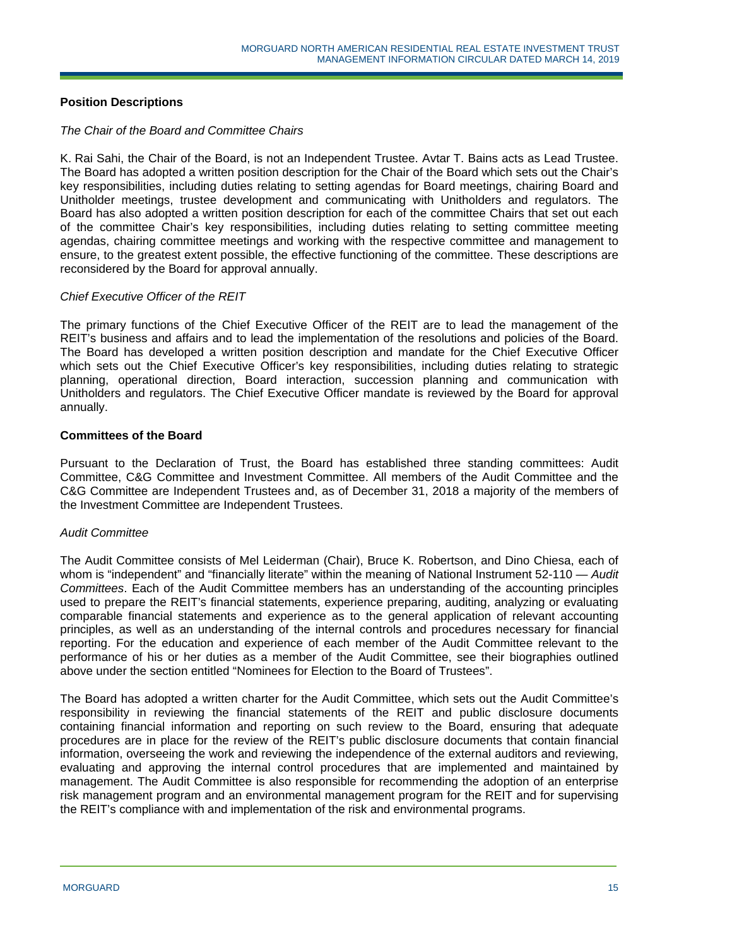## **Position Descriptions**

### *The Chair of the Board and Committee Chairs*

K. Rai Sahi, the Chair of the Board, is not an Independent Trustee. Avtar T. Bains acts as Lead Trustee. The Board has adopted a written position description for the Chair of the Board which sets out the Chair's key responsibilities, including duties relating to setting agendas for Board meetings, chairing Board and Unitholder meetings, trustee development and communicating with Unitholders and regulators. The Board has also adopted a written position description for each of the committee Chairs that set out each of the committee Chair's key responsibilities, including duties relating to setting committee meeting agendas, chairing committee meetings and working with the respective committee and management to ensure, to the greatest extent possible, the effective functioning of the committee. These descriptions are reconsidered by the Board for approval annually.

### *Chief Executive Officer of the REIT*

The primary functions of the Chief Executive Officer of the REIT are to lead the management of the REIT's business and affairs and to lead the implementation of the resolutions and policies of the Board. The Board has developed a written position description and mandate for the Chief Executive Officer which sets out the Chief Executive Officer's key responsibilities, including duties relating to strategic planning, operational direction, Board interaction, succession planning and communication with Unitholders and regulators. The Chief Executive Officer mandate is reviewed by the Board for approval annually.

### **Committees of the Board**

Pursuant to the Declaration of Trust, the Board has established three standing committees: Audit Committee, C&G Committee and Investment Committee. All members of the Audit Committee and the C&G Committee are Independent Trustees and, as of December 31, 2018 a majority of the members of the Investment Committee are Independent Trustees.

## *Audit Committee*

The Audit Committee consists of Mel Leiderman (Chair), Bruce K. Robertson, and Dino Chiesa, each of whom is "independent" and "financially literate" within the meaning of National Instrument 52-110 — *Audit Committees*. Each of the Audit Committee members has an understanding of the accounting principles used to prepare the REIT's financial statements, experience preparing, auditing, analyzing or evaluating comparable financial statements and experience as to the general application of relevant accounting principles, as well as an understanding of the internal controls and procedures necessary for financial reporting. For the education and experience of each member of the Audit Committee relevant to the performance of his or her duties as a member of the Audit Committee, see their biographies outlined above under the section entitled "Nominees for Election to the Board of Trustees".

The Board has adopted a written charter for the Audit Committee, which sets out the Audit Committee's responsibility in reviewing the financial statements of the REIT and public disclosure documents containing financial information and reporting on such review to the Board, ensuring that adequate procedures are in place for the review of the REIT's public disclosure documents that contain financial information, overseeing the work and reviewing the independence of the external auditors and reviewing, evaluating and approving the internal control procedures that are implemented and maintained by management. The Audit Committee is also responsible for recommending the adoption of an enterprise risk management program and an environmental management program for the REIT and for supervising the REIT's compliance with and implementation of the risk and environmental programs.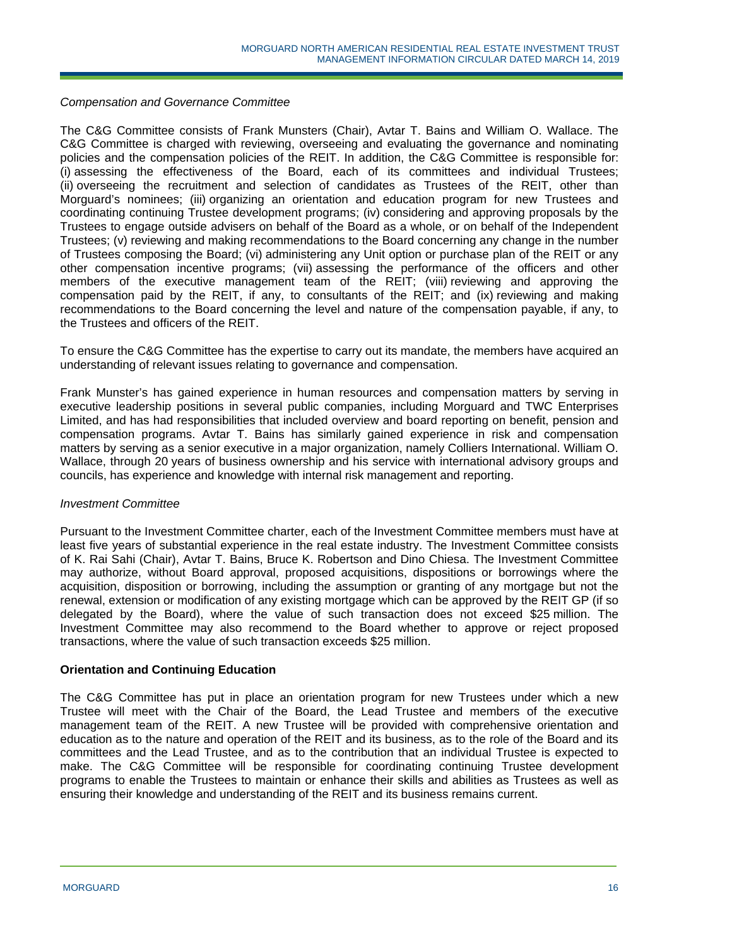### *Compensation and Governance Committee*

The C&G Committee consists of Frank Munsters (Chair), Avtar T. Bains and William O. Wallace. The C&G Committee is charged with reviewing, overseeing and evaluating the governance and nominating policies and the compensation policies of the REIT. In addition, the C&G Committee is responsible for: (i) assessing the effectiveness of the Board, each of its committees and individual Trustees; (ii) overseeing the recruitment and selection of candidates as Trustees of the REIT, other than Morguard's nominees; (iii) organizing an orientation and education program for new Trustees and coordinating continuing Trustee development programs; (iv) considering and approving proposals by the Trustees to engage outside advisers on behalf of the Board as a whole, or on behalf of the Independent Trustees; (v) reviewing and making recommendations to the Board concerning any change in the number of Trustees composing the Board; (vi) administering any Unit option or purchase plan of the REIT or any other compensation incentive programs; (vii) assessing the performance of the officers and other members of the executive management team of the REIT; (viii) reviewing and approving the compensation paid by the REIT, if any, to consultants of the REIT; and (ix) reviewing and making recommendations to the Board concerning the level and nature of the compensation payable, if any, to the Trustees and officers of the REIT.

To ensure the C&G Committee has the expertise to carry out its mandate, the members have acquired an understanding of relevant issues relating to governance and compensation.

Frank Munster's has gained experience in human resources and compensation matters by serving in executive leadership positions in several public companies, including Morguard and TWC Enterprises Limited, and has had responsibilities that included overview and board reporting on benefit, pension and compensation programs. Avtar T. Bains has similarly gained experience in risk and compensation matters by serving as a senior executive in a major organization, namely Colliers International. William O. Wallace, through 20 years of business ownership and his service with international advisory groups and councils, has experience and knowledge with internal risk management and reporting.

### *Investment Committee*

Pursuant to the Investment Committee charter, each of the Investment Committee members must have at least five years of substantial experience in the real estate industry. The Investment Committee consists of K. Rai Sahi (Chair), Avtar T. Bains, Bruce K. Robertson and Dino Chiesa. The Investment Committee may authorize, without Board approval, proposed acquisitions, dispositions or borrowings where the acquisition, disposition or borrowing, including the assumption or granting of any mortgage but not the renewal, extension or modification of any existing mortgage which can be approved by the REIT GP (if so delegated by the Board), where the value of such transaction does not exceed \$25 million. The Investment Committee may also recommend to the Board whether to approve or reject proposed transactions, where the value of such transaction exceeds \$25 million.

### **Orientation and Continuing Education**

The C&G Committee has put in place an orientation program for new Trustees under which a new Trustee will meet with the Chair of the Board, the Lead Trustee and members of the executive management team of the REIT. A new Trustee will be provided with comprehensive orientation and education as to the nature and operation of the REIT and its business, as to the role of the Board and its committees and the Lead Trustee, and as to the contribution that an individual Trustee is expected to make. The C&G Committee will be responsible for coordinating continuing Trustee development programs to enable the Trustees to maintain or enhance their skills and abilities as Trustees as well as ensuring their knowledge and understanding of the REIT and its business remains current.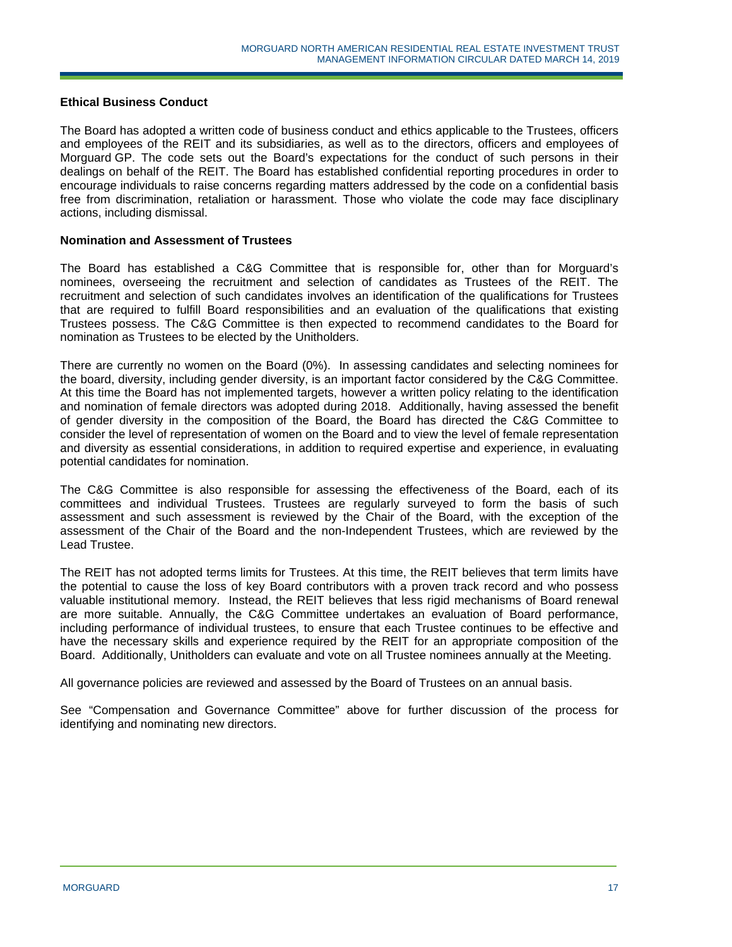### **Ethical Business Conduct**

The Board has adopted a written code of business conduct and ethics applicable to the Trustees, officers and employees of the REIT and its subsidiaries, as well as to the directors, officers and employees of Morguard GP. The code sets out the Board's expectations for the conduct of such persons in their dealings on behalf of the REIT. The Board has established confidential reporting procedures in order to encourage individuals to raise concerns regarding matters addressed by the code on a confidential basis free from discrimination, retaliation or harassment. Those who violate the code may face disciplinary actions, including dismissal.

### **Nomination and Assessment of Trustees**

The Board has established a C&G Committee that is responsible for, other than for Morguard's nominees, overseeing the recruitment and selection of candidates as Trustees of the REIT. The recruitment and selection of such candidates involves an identification of the qualifications for Trustees that are required to fulfill Board responsibilities and an evaluation of the qualifications that existing Trustees possess. The C&G Committee is then expected to recommend candidates to the Board for nomination as Trustees to be elected by the Unitholders.

There are currently no women on the Board (0%). In assessing candidates and selecting nominees for the board, diversity, including gender diversity, is an important factor considered by the C&G Committee. At this time the Board has not implemented targets, however a written policy relating to the identification and nomination of female directors was adopted during 2018. Additionally, having assessed the benefit of gender diversity in the composition of the Board, the Board has directed the C&G Committee to consider the level of representation of women on the Board and to view the level of female representation and diversity as essential considerations, in addition to required expertise and experience, in evaluating potential candidates for nomination.

The C&G Committee is also responsible for assessing the effectiveness of the Board, each of its committees and individual Trustees. Trustees are regularly surveyed to form the basis of such assessment and such assessment is reviewed by the Chair of the Board, with the exception of the assessment of the Chair of the Board and the non-Independent Trustees, which are reviewed by the Lead Trustee.

The REIT has not adopted terms limits for Trustees. At this time, the REIT believes that term limits have the potential to cause the loss of key Board contributors with a proven track record and who possess valuable institutional memory. Instead, the REIT believes that less rigid mechanisms of Board renewal are more suitable. Annually, the C&G Committee undertakes an evaluation of Board performance, including performance of individual trustees, to ensure that each Trustee continues to be effective and have the necessary skills and experience required by the REIT for an appropriate composition of the Board. Additionally, Unitholders can evaluate and vote on all Trustee nominees annually at the Meeting.

All governance policies are reviewed and assessed by the Board of Trustees on an annual basis.

See "Compensation and Governance Committee" above for further discussion of the process for identifying and nominating new directors.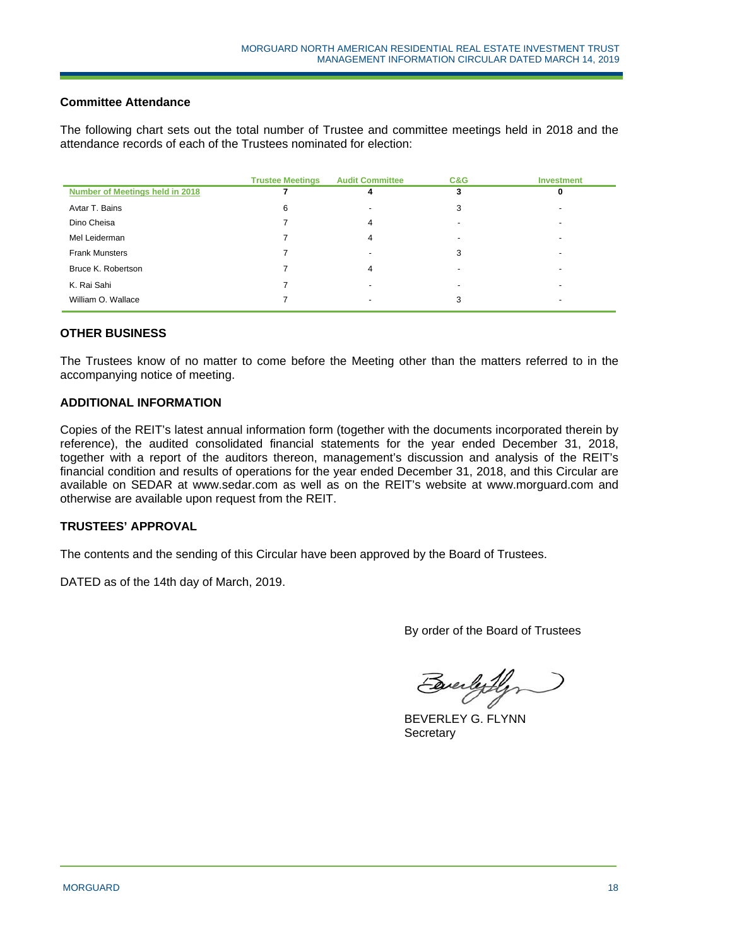## **Committee Attendance**

The following chart sets out the total number of Trustee and committee meetings held in 2018 and the attendance records of each of the Trustees nominated for election:

|                                 | <b>Trustee Meetings</b> | <b>Audit Committee</b> | C&G | <b>Investment</b> |
|---------------------------------|-------------------------|------------------------|-----|-------------------|
| Number of Meetings held in 2018 |                         | 4                      |     | 0                 |
| Avtar T. Bains                  | 6                       |                        | 3   |                   |
| Dino Cheisa                     |                         | 4                      |     |                   |
| Mel Leiderman                   |                         | 4                      |     |                   |
| <b>Frank Munsters</b>           |                         |                        | 3   |                   |
| Bruce K. Robertson              |                         | 4                      |     |                   |
| K. Rai Sahi                     |                         |                        |     |                   |
| William O. Wallace              |                         |                        | 3   |                   |

## **OTHER BUSINESS**

The Trustees know of no matter to come before the Meeting other than the matters referred to in the accompanying notice of meeting.

### **ADDITIONAL INFORMATION**

Copies of the REIT's latest annual information form (together with the documents incorporated therein by reference), the audited consolidated financial statements for the year ended December 31, 2018, together with a report of the auditors thereon, management's discussion and analysis of the REIT's financial condition and results of operations for the year ended December 31, 2018, and this Circular are available on SEDAR at www.sedar.com as well as on the REIT's website at www.morguard.com and otherwise are available upon request from the REIT.

### **TRUSTEES' APPROVAL**

The contents and the sending of this Circular have been approved by the Board of Trustees.

DATED as of the 14th day of March, 2019.

By order of the Board of Trustees

Buelylyn

BEVERLEY G. FLYNN **Secretary**